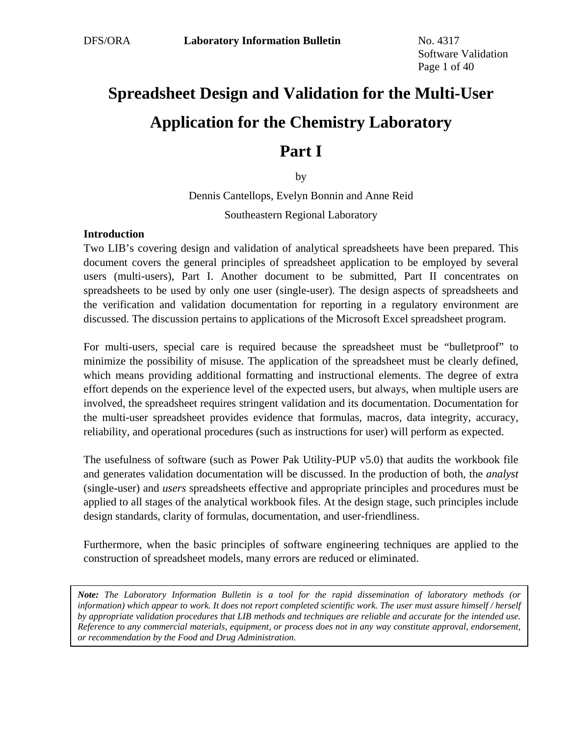# **Spreadsheet Design and Validation for the Multi-User Application for the Chemistry Laboratory**

# **Part I**

by

Dennis Cantellops, Evelyn Bonnin and Anne Reid Southeastern Regional Laboratory

## **Introduction**

Two LIB's covering design and validation of analytical spreadsheets have been prepared. This document covers the general principles of spreadsheet application to be employed by several users (multi-users), Part I. Another document to be submitted, Part II concentrates on spreadsheets to be used by only one user (single-user). The design aspects of spreadsheets and the verification and validation documentation for reporting in a regulatory environment are discussed. The discussion pertains to applications of the Microsoft Excel spreadsheet program.

For multi-users, special care is required because the spreadsheet must be "bulletproof" to minimize the possibility of misuse. The application of the spreadsheet must be clearly defined, which means providing additional formatting and instructional elements. The degree of extra effort depends on the experience level of the expected users, but always, when multiple users are involved, the spreadsheet requires stringent validation and its documentation. Documentation for the multi-user spreadsheet provides evidence that formulas, macros, data integrity, accuracy, reliability, and operational procedures (such as instructions for user) will perform as expected.

The usefulness of software (such as Power Pak Utility-PUP v5.0) that audits the workbook file and generates validation documentation will be discussed. In the production of both, the *analyst* (single-user) and *users* spreadsheets effective and appropriate principles and procedures must be applied to all stages of the analytical workbook files. At the design stage, such principles include design standards, clarity of formulas, documentation, and user-friendliness.

Furthermore, when the basic principles of software engineering techniques are applied to the construction of spreadsheet models, many errors are reduced or eliminated.

*Note: The Laboratory Information Bulletin is a tool for the rapid dissemination of laboratory methods (or information) which appear to work. It does not report completed scientific work. The user must assure himself / herself by appropriate validation procedures that LIB methods and techniques are reliable and accurate for the intended use. Reference to any commercial materials, equipment, or process does not in any way constitute approval, endorsement, or recommendation by the Food and Drug Administration.*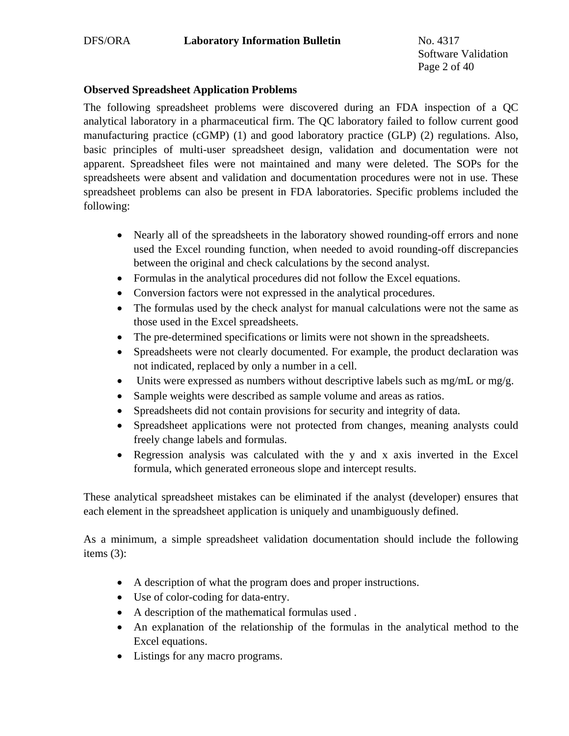Software Validation Page 2 of 40

# **Observed Spreadsheet Application Problems**

The following spreadsheet problems were discovered during an FDA inspection of a QC analytical laboratory in a pharmaceutical firm. The QC laboratory failed to follow current good manufacturing practice (cGMP) (1) and good laboratory practice (GLP) (2) regulations. Also, basic principles of multi-user spreadsheet design, validation and documentation were not apparent. Spreadsheet files were not maintained and many were deleted. The SOPs for the spreadsheets were absent and validation and documentation procedures were not in use. These spreadsheet problems can also be present in FDA laboratories. Specific problems included the following:

- Nearly all of the spreadsheets in the laboratory showed rounding-off errors and none used the Excel rounding function, when needed to avoid rounding-off discrepancies between the original and check calculations by the second analyst.
- Formulas in the analytical procedures did not follow the Excel equations.
- Conversion factors were not expressed in the analytical procedures.
- The formulas used by the check analyst for manual calculations were not the same as those used in the Excel spreadsheets.
- The pre-determined specifications or limits were not shown in the spreadsheets.
- Spreadsheets were not clearly documented. For example, the product declaration was not indicated, replaced by only a number in a cell.
- Units were expressed as numbers without descriptive labels such as mg/mL or mg/g.
- Sample weights were described as sample volume and areas as ratios.
- Spreadsheets did not contain provisions for security and integrity of data.
- Spreadsheet applications were not protected from changes, meaning analysts could freely change labels and formulas.
- Regression analysis was calculated with the y and x axis inverted in the Excel formula, which generated erroneous slope and intercept results.

These analytical spreadsheet mistakes can be eliminated if the analyst (developer) ensures that each element in the spreadsheet application is uniquely and unambiguously defined.

As a minimum, a simple spreadsheet validation documentation should include the following items (3):

- A description of what the program does and proper instructions.
- Use of color-coding for data-entry.
- A description of the mathematical formulas used .
- An explanation of the relationship of the formulas in the analytical method to the Excel equations.
- Listings for any macro programs.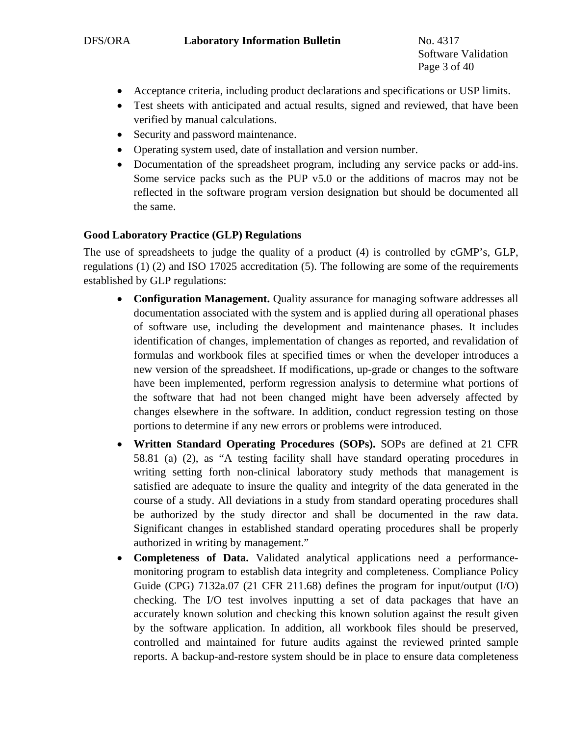Software Validation Page 3 of 40

- Acceptance criteria, including product declarations and specifications or USP limits.
- Test sheets with anticipated and actual results, signed and reviewed, that have been verified by manual calculations.
- Security and password maintenance.
- Operating system used, date of installation and version number.
- Documentation of the spreadsheet program, including any service packs or add-ins. Some service packs such as the PUP v5.0 or the additions of macros may not be reflected in the software program version designation but should be documented all the same.

# **Good Laboratory Practice (GLP) Regulations**

The use of spreadsheets to judge the quality of a product (4) is controlled by cGMP's, GLP, regulations (1) (2) and ISO 17025 accreditation (5). The following are some of the requirements established by GLP regulations:

- **Configuration Management.** Quality assurance for managing software addresses all documentation associated with the system and is applied during all operational phases of software use, including the development and maintenance phases. It includes identification of changes, implementation of changes as reported, and revalidation of formulas and workbook files at specified times or when the developer introduces a new version of the spreadsheet. If modifications, up-grade or changes to the software have been implemented, perform regression analysis to determine what portions of the software that had not been changed might have been adversely affected by changes elsewhere in the software. In addition, conduct regression testing on those portions to determine if any new errors or problems were introduced.
- **Written Standard Operating Procedures (SOPs).** SOPs are defined at 21 CFR 58.81 (a) (2), as "A testing facility shall have standard operating procedures in writing setting forth non-clinical laboratory study methods that management is satisfied are adequate to insure the quality and integrity of the data generated in the course of a study. All deviations in a study from standard operating procedures shall be authorized by the study director and shall be documented in the raw data. Significant changes in established standard operating procedures shall be properly authorized in writing by management."
- **Completeness of Data.** Validated analytical applications need a performancemonitoring program to establish data integrity and completeness. Compliance Policy Guide (CPG) 7132a.07 (21 CFR 211.68) defines the program for input/output (I/O) checking. The I/O test involves inputting a set of data packages that have an accurately known solution and checking this known solution against the result given by the software application. In addition, all workbook files should be preserved, controlled and maintained for future audits against the reviewed printed sample reports. A backup-and-restore system should be in place to ensure data completeness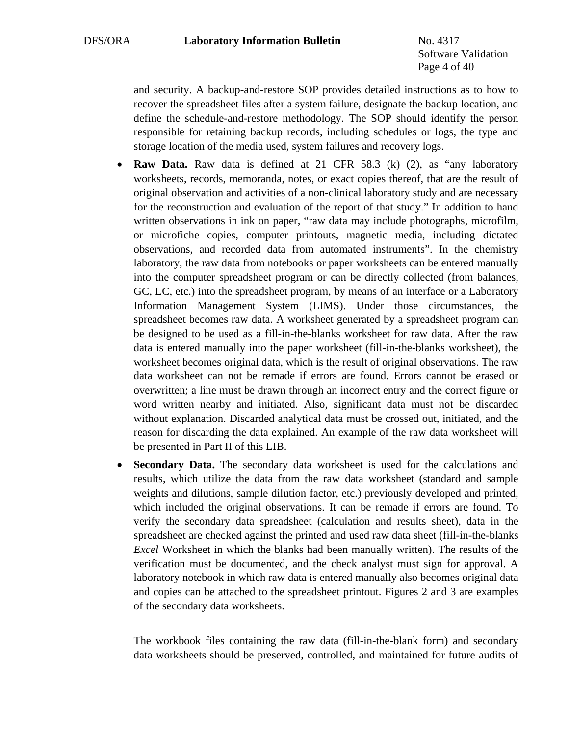Software Validation Page 4 of 40

and security. A backup-and-restore SOP provides detailed instructions as to how to recover the spreadsheet files after a system failure, designate the backup location, and define the schedule-and-restore methodology. The SOP should identify the person responsible for retaining backup records, including schedules or logs, the type and storage location of the media used, system failures and recovery logs.

- **Raw Data.** Raw data is defined at 21 CFR 58.3 (k) (2), as "any laboratory worksheets, records, memoranda, notes, or exact copies thereof, that are the result of original observation and activities of a non-clinical laboratory study and are necessary for the reconstruction and evaluation of the report of that study." In addition to hand written observations in ink on paper, "raw data may include photographs, microfilm, or microfiche copies, computer printouts, magnetic media, including dictated observations, and recorded data from automated instruments". In the chemistry laboratory, the raw data from notebooks or paper worksheets can be entered manually into the computer spreadsheet program or can be directly collected (from balances, GC, LC, etc.) into the spreadsheet program, by means of an interface or a Laboratory Information Management System (LIMS). Under those circumstances, the spreadsheet becomes raw data. A worksheet generated by a spreadsheet program can be designed to be used as a fill-in-the-blanks worksheet for raw data. After the raw data is entered manually into the paper worksheet (fill-in-the-blanks worksheet), the worksheet becomes original data, which is the result of original observations. The raw data worksheet can not be remade if errors are found. Errors cannot be erased or overwritten; a line must be drawn through an incorrect entry and the correct figure or word written nearby and initiated. Also, significant data must not be discarded without explanation. Discarded analytical data must be crossed out, initiated, and the reason for discarding the data explained. An example of the raw data worksheet will be presented in Part II of this LIB.
- **Secondary Data.** The secondary data worksheet is used for the calculations and results, which utilize the data from the raw data worksheet (standard and sample weights and dilutions, sample dilution factor, etc.) previously developed and printed, which included the original observations. It can be remade if errors are found. To verify the secondary data spreadsheet (calculation and results sheet), data in the spreadsheet are checked against the printed and used raw data sheet (fill-in-the-blanks *Excel* Worksheet in which the blanks had been manually written). The results of the verification must be documented, and the check analyst must sign for approval. A laboratory notebook in which raw data is entered manually also becomes original data and copies can be attached to the spreadsheet printout. Figures 2 and 3 are examples of the secondary data worksheets.

The workbook files containing the raw data (fill-in-the-blank form) and secondary data worksheets should be preserved, controlled, and maintained for future audits of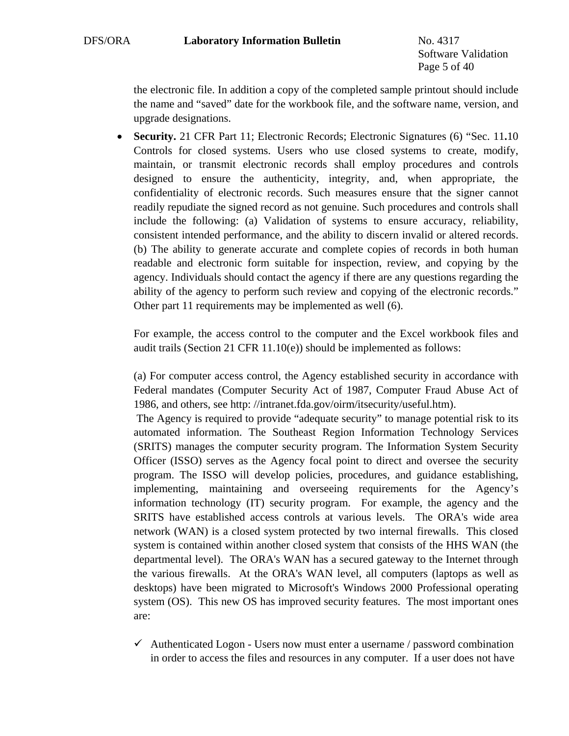Software Validation Page 5 of 40

the electronic file. In addition a copy of the completed sample printout should include the name and "saved" date for the workbook file, and the software name, version, and upgrade designations.

• **Security.** 21 CFR Part 11; Electronic Records; Electronic Signatures (6) "Sec. 11.10 Controls for closed systems. Users who use closed systems to create, modify, maintain, or transmit electronic records shall employ procedures and controls designed to ensure the authenticity, integrity, and, when appropriate, the confidentiality of electronic records. Such measures ensure that the signer cannot readily repudiate the signed record as not genuine. Such procedures and controls shall include the following: (a) Validation of systems to ensure accuracy, reliability, consistent intended performance, and the ability to discern invalid or altered records. (b) The ability to generate accurate and complete copies of records in both human readable and electronic form suitable for inspection, review, and copying by the agency. Individuals should contact the agency if there are any questions regarding the ability of the agency to perform such review and copying of the electronic records." Other part 11 requirements may be implemented as well (6).

For example, the access control to the computer and the Excel workbook files and audit trails (Section 21 CFR 11.10(e)) should be implemented as follows:

(a) For computer access control, the Agency established security in accordance with Federal mandates (Computer Security Act of 1987, Computer Fraud Abuse Act of 1986, and others, see http: //intranet.fda.gov/oirm/itsecurity/useful.htm).

 The Agency is required to provide "adequate security" to manage potential risk to its automated information. The Southeast Region Information Technology Services (SRITS) manages the computer security program. The Information System Security Officer (ISSO) serves as the Agency focal point to direct and oversee the security program. The ISSO will develop policies, procedures, and guidance establishing, implementing, maintaining and overseeing requirements for the Agency's information technology (IT) security program. For example, the agency and the SRITS have established access controls at various levels. The ORA's wide area network (WAN) is a closed system protected by two internal firewalls. This closed system is contained within another closed system that consists of the HHS WAN (the departmental level). The ORA's WAN has a secured gateway to the Internet through the various firewalls. At the ORA's WAN level, all computers (laptops as well as desktops) have been migrated to Microsoft's Windows 2000 Professional operating system (OS). This new OS has improved security features. The most important ones are:

 $\checkmark$  Authenticated Logon - Users now must enter a username / password combination in order to access the files and resources in any computer. If a user does not have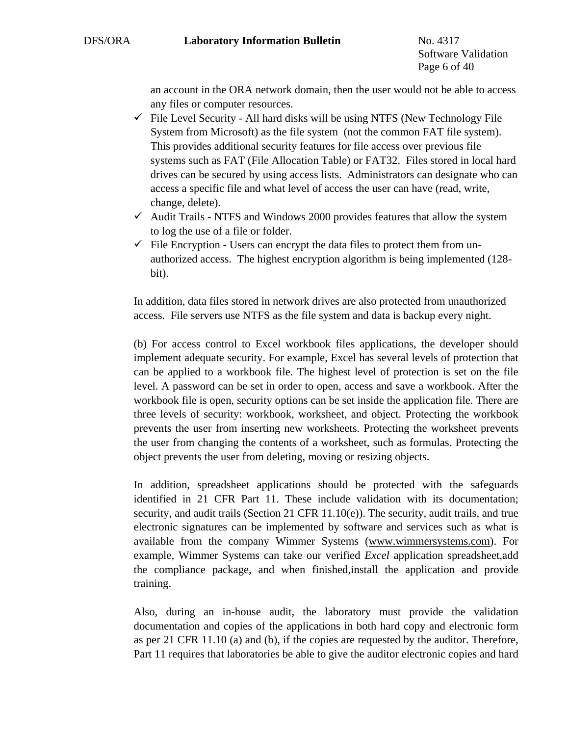Software Validation Page 6 of 40

an account in the ORA network domain, then the user would not be able to access any files or computer resources.

- $\checkmark$  File Level Security All hard disks will be using NTFS (New Technology File System from Microsoft) as the file system (not the common FAT file system). This provides additional security features for file access over previous file systems such as FAT (File Allocation Table) or FAT32. Files stored in local hard drives can be secured by using access lists. Administrators can designate who can access a specific file and what level of access the user can have (read, write, change, delete).
- $\checkmark$  Audit Trails NTFS and Windows 2000 provides features that allow the system to log the use of a file or folder.
- $\checkmark$  File Encryption Users can encrypt the data files to protect them from unauthorized access. The highest encryption algorithm is being implemented (128 bit).

In addition, data files stored in network drives are also protected from unauthorized access. File servers use NTFS as the file system and data is backup every night.

(b) For access control to Excel workbook files applications, the developer should implement adequate security. For example, Excel has several levels of protection that can be applied to a workbook file. The highest level of protection is set on the file level. A password can be set in order to open, access and save a workbook. After the workbook file is open, security options can be set inside the application file. There are three levels of security: workbook, worksheet, and object. Protecting the workbook prevents the user from inserting new worksheets. Protecting the worksheet prevents the user from changing the contents of a worksheet, such as formulas. Protecting the object prevents the user from deleting, moving or resizing objects.

In addition, spreadsheet applications should be protected with the safeguards identified in 21 CFR Part 11. These include validation with its documentation; security, and audit trails (Section 21 CFR  $11.10(e)$ ). The security, audit trails, and true electronic signatures can be implemented by software and services such as what is available from the company Wimmer Systems ([www.wimmersystems.com\)](http://www.wimmersystems.com/). For example, Wimmer Systems can take our verified *Excel* application spreadsheet,add the compliance package, and when finished,install the application and provide training.

Also, during an in-house audit, the laboratory must provide the validation documentation and copies of the applications in both hard copy and electronic form as per 21 CFR 11.10 (a) and (b), if the copies are requested by the auditor. Therefore, Part 11 requires that laboratories be able to give the auditor electronic copies and hard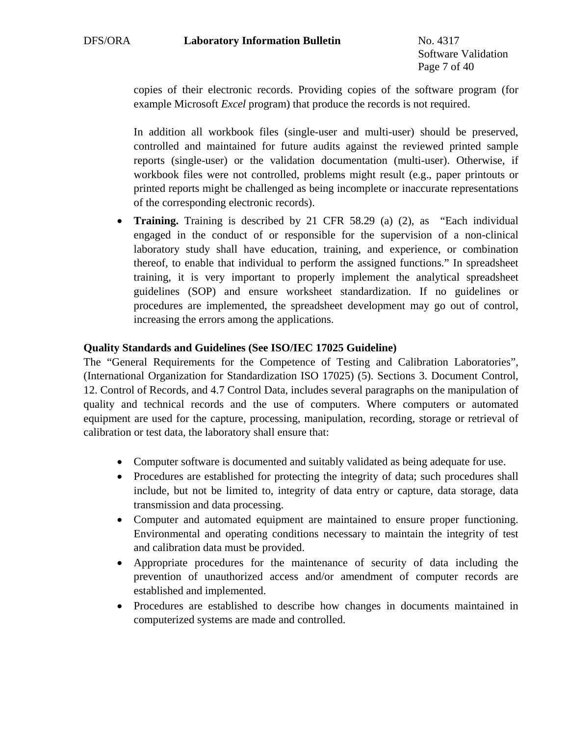Software Validation Page 7 of 40

copies of their electronic records. Providing copies of the software program (for example Microsoft *Excel* program) that produce the records is not required.

In addition all workbook files (single-user and multi-user) should be preserved, controlled and maintained for future audits against the reviewed printed sample reports (single-user) or the validation documentation (multi-user). Otherwise, if workbook files were not controlled, problems might result (e.g., paper printouts or printed reports might be challenged as being incomplete or inaccurate representations of the corresponding electronic records).

• **Training.** Training is described by 21 CFR 58.29 (a) (2), as "Each individual engaged in the conduct of or responsible for the supervision of a non-clinical laboratory study shall have education, training, and experience, or combination thereof, to enable that individual to perform the assigned functions." In spreadsheet training, it is very important to properly implement the analytical spreadsheet guidelines (SOP) and ensure worksheet standardization. If no guidelines or procedures are implemented, the spreadsheet development may go out of control, increasing the errors among the applications.

## **Quality Standards and Guidelines (See ISO/IEC 17025 Guideline)**

The "General Requirements for the Competence of Testing and Calibration Laboratories", (International Organization for Standardization ISO 17025) (5). Sections 3. Document Control, 12. Control of Records, and 4.7 Control Data, includes several paragraphs on the manipulation of quality and technical records and the use of computers. Where computers or automated equipment are used for the capture, processing, manipulation, recording, storage or retrieval of calibration or test data, the laboratory shall ensure that:

- Computer software is documented and suitably validated as being adequate for use.
- Procedures are established for protecting the integrity of data; such procedures shall include, but not be limited to, integrity of data entry or capture, data storage, data transmission and data processing.
- Computer and automated equipment are maintained to ensure proper functioning. Environmental and operating conditions necessary to maintain the integrity of test and calibration data must be provided.
- Appropriate procedures for the maintenance of security of data including the prevention of unauthorized access and/or amendment of computer records are established and implemented.
- Procedures are established to describe how changes in documents maintained in computerized systems are made and controlled.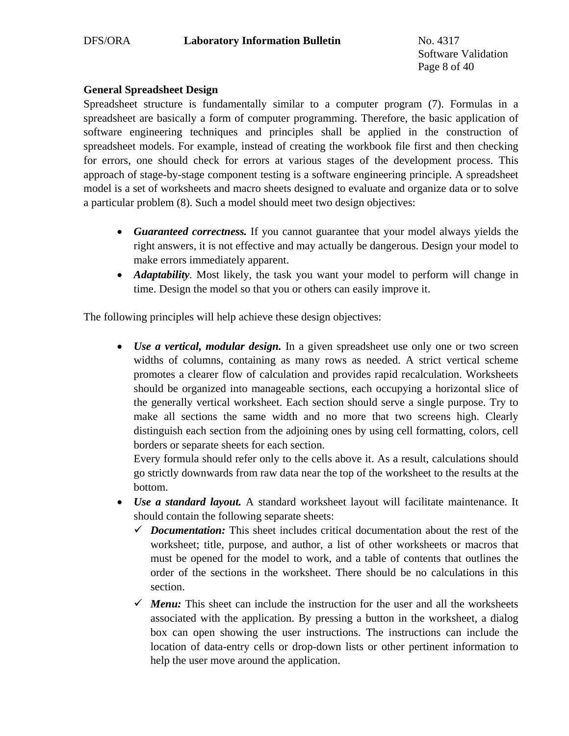Software Validation Page 8 of 40

# **General Spreadsheet Design**

Spreadsheet structure is fundamentally similar to a computer program (7). Formulas in a spreadsheet are basically a form of computer programming. Therefore, the basic application of software engineering techniques and principles shall be applied in the construction of spreadsheet models. For example, instead of creating the workbook file first and then checking for errors, one should check for errors at various stages of the development process. This approach of stage-by-stage component testing is a software engineering principle. A spreadsheet model is a set of worksheets and macro sheets designed to evaluate and organize data or to solve a particular problem (8). Such a model should meet two design objectives:

- *Guaranteed correctness.* If you cannot guarantee that your model always yields the right answers, it is not effective and may actually be dangerous. Design your model to make errors immediately apparent.
- *Adaptability*. Most likely, the task you want your model to perform will change in time. Design the model so that you or others can easily improve it.

The following principles will help achieve these design objectives:

• *Use a vertical, modular design*. In a given spreadsheet use only one or two screen widths of columns, containing as many rows as needed. A strict vertical scheme promotes a clearer flow of calculation and provides rapid recalculation. Worksheets should be organized into manageable sections, each occupying a horizontal slice of the generally vertical worksheet. Each section should serve a single purpose. Try to make all sections the same width and no more that two screens high. Clearly distinguish each section from the adjoining ones by using cell formatting, colors, cell borders or separate sheets for each section.

Every formula should refer only to the cells above it. As a result, calculations should go strictly downwards from raw data near the top of the worksheet to the results at the bottom.

- *Use a standard layout.* A standard worksheet layout will facilitate maintenance. It should contain the following separate sheets:
	- $\checkmark$  *Documentation:* This sheet includes critical documentation about the rest of the worksheet; title, purpose, and author, a list of other worksheets or macros that must be opened for the model to work, and a table of contents that outlines the order of the sections in the worksheet. There should be no calculations in this section.
	- $\checkmark$  *Menu:* This sheet can include the instruction for the user and all the worksheets associated with the application. By pressing a button in the worksheet, a dialog box can open showing the user instructions. The instructions can include the location of data-entry cells or drop-down lists or other pertinent information to help the user move around the application.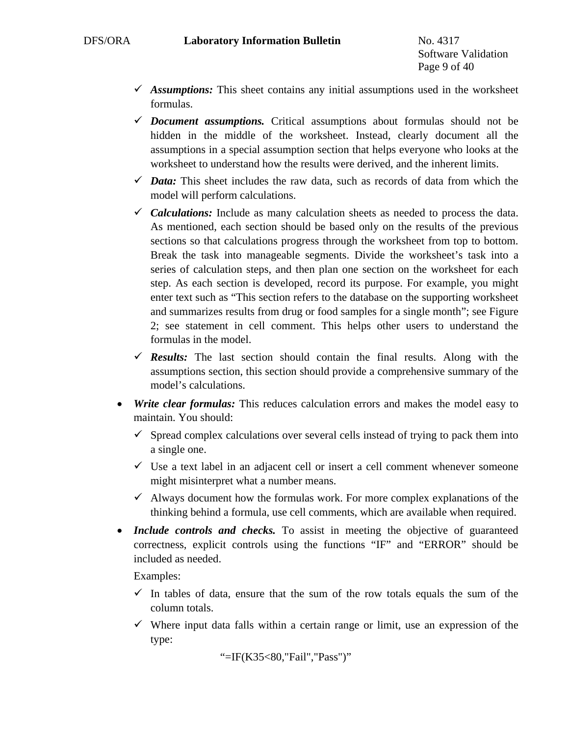- $\checkmark$  *Assumptions:* This sheet contains any initial assumptions used in the worksheet formulas.
- $\checkmark$  *Document assumptions.* Critical assumptions about formulas should not be hidden in the middle of the worksheet. Instead, clearly document all the assumptions in a special assumption section that helps everyone who looks at the worksheet to understand how the results were derived, and the inherent limits.
- $\checkmark$  *Data:* This sheet includes the raw data, such as records of data from which the model will perform calculations.
- $\checkmark$  *Calculations:* Include as many calculation sheets as needed to process the data. As mentioned, each section should be based only on the results of the previous sections so that calculations progress through the worksheet from top to bottom. Break the task into manageable segments. Divide the worksheet's task into a series of calculation steps, and then plan one section on the worksheet for each step. As each section is developed, record its purpose. For example, you might enter text such as "This section refers to the database on the supporting worksheet and summarizes results from drug or food samples for a single month"; see Figure 2; see statement in cell comment. This helps other users to understand the formulas in the model.
- $\checkmark$  Results: The last section should contain the final results. Along with the assumptions section, this section should provide a comprehensive summary of the model's calculations.
- *Write clear formulas:* This reduces calculation errors and makes the model easy to maintain. You should:
	- $\checkmark$  Spread complex calculations over several cells instead of trying to pack them into a single one.
	- $\checkmark$  Use a text label in an adjacent cell or insert a cell comment whenever someone might misinterpret what a number means.
	- $\checkmark$  Always document how the formulas work. For more complex explanations of the thinking behind a formula, use cell comments, which are available when required.
- *Include controls and checks.* To assist in meeting the objective of guaranteed correctness, explicit controls using the functions "IF" and "ERROR" should be included as needed.

Examples:

- $\checkmark$  In tables of data, ensure that the sum of the row totals equals the sum of the column totals.
- $\checkmark$  Where input data falls within a certain range or limit, use an expression of the type:

```
 "=IF(K35<80,"Fail","Pass")"
```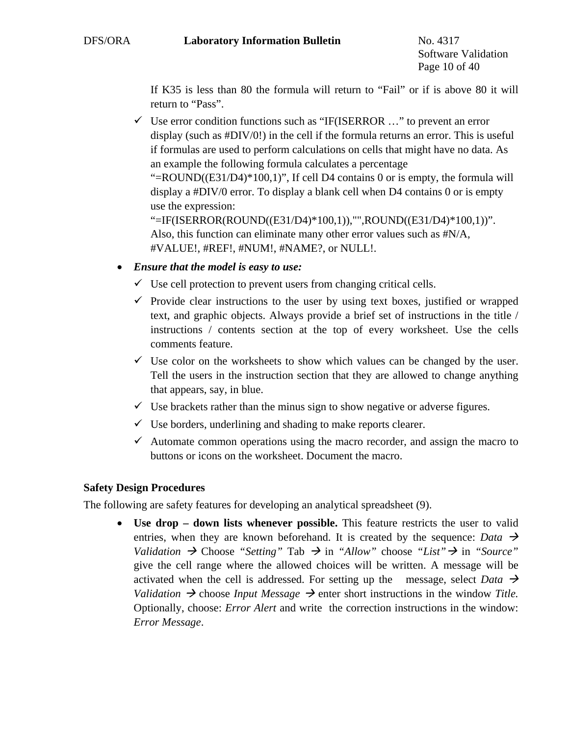If K35 is less than 80 the formula will return to "Fail" or if is above 80 it will return to "Pass".

 $\checkmark$  Use error condition functions such as "IF(ISERROR ..." to prevent an error display (such as #DIV/0!) in the cell if the formula returns an error. This is useful if formulas are used to perform calculations on cells that might have no data. As an example the following formula calculates a percentage

"=ROUND( $(E31/D4$ )\*100,1)", If cell D4 contains 0 or is empty, the formula will display a #DIV/0 error. To display a blank cell when D4 contains 0 or is empty use the expression:

```
"=IF(ISERROR(ROUND((E31/D4)*100,1)),"",ROUND((E31/D4)*100,1))". 
Also, this function can eliminate many other error values such as #N/A, 
#VALUE!, #REF!, #NUM!, #NAME?, or NULL!.
```
- *Ensure that the model is easy to use:*
	- $\checkmark$  Use cell protection to prevent users from changing critical cells.
	- $\checkmark$  Provide clear instructions to the user by using text boxes, justified or wrapped text, and graphic objects. Always provide a brief set of instructions in the title / instructions / contents section at the top of every worksheet. Use the cells comments feature.
	- $\checkmark$  Use color on the worksheets to show which values can be changed by the user. Tell the users in the instruction section that they are allowed to change anything that appears, say, in blue.
	- $\checkmark$  Use brackets rather than the minus sign to show negative or adverse figures.
	- $\checkmark$  Use borders, underlining and shading to make reports clearer.
	- $\checkmark$  Automate common operations using the macro recorder, and assign the macro to buttons or icons on the worksheet. Document the macro.

#### **Safety Design Procedures**

The following are safety features for developing an analytical spreadsheet (9).

• **Use drop – down lists whenever possible.** This feature restricts the user to valid entries, when they are known beforehand. It is created by the sequence: *Data*  $\rightarrow$ *Validation*  $\rightarrow$  Choose "Setting" Tab  $\rightarrow$  in "Allow" choose "List"  $\rightarrow$  in "Source" give the cell range where the allowed choices will be written. A message will be activated when the cell is addressed. For setting up the message, select *Data*  $\rightarrow$ *Validation*  $\rightarrow$  choose *Input Message*  $\rightarrow$  enter short instructions in the window *Title*. Optionally, choose: *Error Alert* and write the correction instructions in the window: *Error Message*.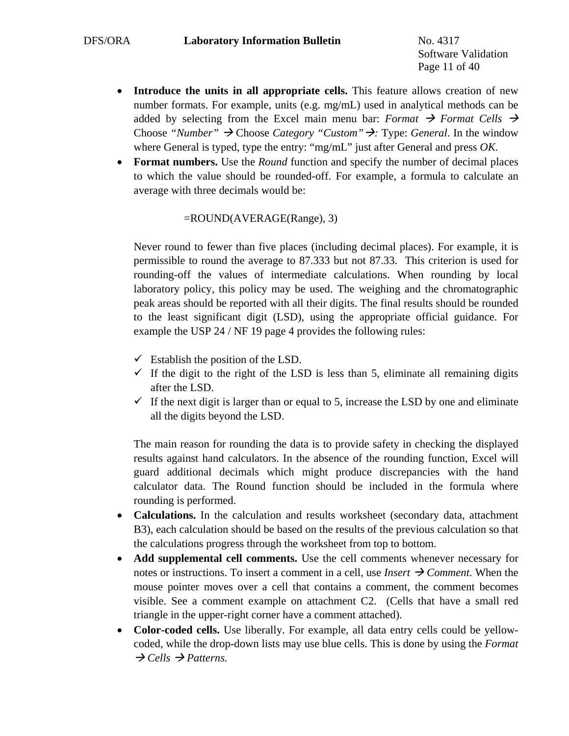Software Validation Page 11 of 40

- **Introduce the units in all appropriate cells.** This feature allows creation of new number formats. For example, units (e.g. mg/mL) used in analytical methods can be added by selecting from the Excel main menu bar: *Format*  $\rightarrow$  *Format Cells*  $\rightarrow$ Choose "Number" → Choose Category "Custom" →: Type: *General*. In the window where General is typed, type the entry: "mg/mL" just after General and press *OK*.
- **Format numbers.** Use the *Round* function and specify the number of decimal places to which the value should be rounded-off. For example, a formula to calculate an average with three decimals would be:

#### =ROUND(AVERAGE(Range), 3)

Never round to fewer than five places (including decimal places). For example, it is permissible to round the average to 87.333 but not 87.33. This criterion is used for rounding-off the values of intermediate calculations. When rounding by local laboratory policy, this policy may be used. The weighing and the chromatographic peak areas should be reported with all their digits. The final results should be rounded to the least significant digit (LSD), using the appropriate official guidance. For example the USP 24 / NF 19 page 4 provides the following rules:

- $\checkmark$  Establish the position of the LSD.
- $\checkmark$  If the digit to the right of the LSD is less than 5, eliminate all remaining digits after the LSD.
- $\checkmark$  If the next digit is larger than or equal to 5, increase the LSD by one and eliminate all the digits beyond the LSD.

The main reason for rounding the data is to provide safety in checking the displayed results against hand calculators. In the absence of the rounding function, Excel will guard additional decimals which might produce discrepancies with the hand calculator data. The Round function should be included in the formula where rounding is performed.

- **Calculations.** In the calculation and results worksheet (secondary data, attachment B3), each calculation should be based on the results of the previous calculation so that the calculations progress through the worksheet from top to bottom.
- **Add supplemental cell comments.** Use the cell comments whenever necessary for notes or instructions. To insert a comment in a cell, use *Insert*  $\rightarrow$  *Comment*. When the mouse pointer moves over a cell that contains a comment, the comment becomes visible. See a comment example on attachment C2. (Cells that have a small red triangle in the upper-right corner have a comment attached).
- **Color-coded cells.** Use liberally. For example, all data entry cells could be yellowcoded, while the drop-down lists may use blue cells. This is done by using the *Format*   $\rightarrow$  Cells  $\rightarrow$  Patterns.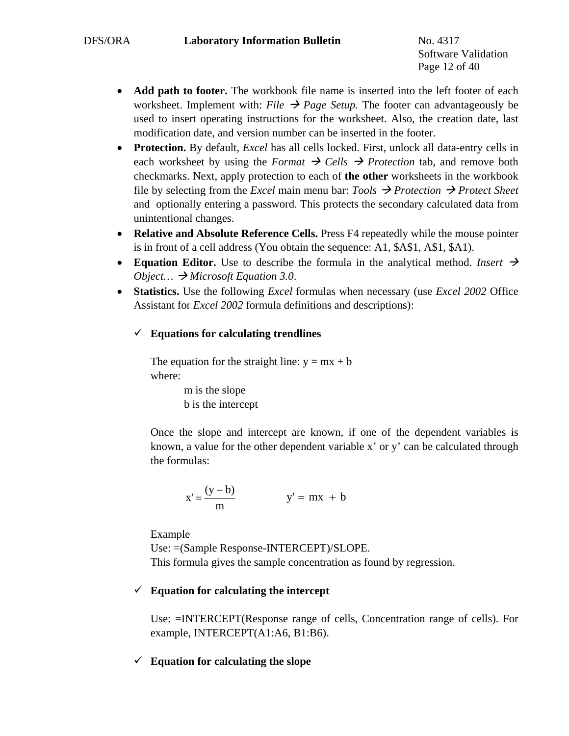Software Validation Page 12 of 40

- **Add path to footer.** The workbook file name is inserted into the left footer of each worksheet. Implement with: *File*  $\rightarrow$  *Page Setup*. The footer can advantageously be used to insert operating instructions for the worksheet. Also, the creation date, last modification date, and version number can be inserted in the footer.
- **Protection.** By default, *Excel* has all cells locked. First, unlock all data-entry cells in each worksheet by using the *Format*  $\rightarrow$  Cells  $\rightarrow$  Protection tab, and remove both checkmarks. Next, apply protection to each of **the other** worksheets in the workbook file by selecting from the *Excel* main menu bar: *Tools*  $\rightarrow$  *Protection*  $\rightarrow$  *Protect Sheet* and optionally entering a password. This protects the secondary calculated data from unintentional changes.
- **Relative and Absolute Reference Cells.** Press F4 repeatedly while the mouse pointer is in front of a cell address (You obtain the sequence: A1, \$A\$1, A\$1, \$A1).
- **Equation Editor.** Use to describe the formula in the analytical method. *Insert*  $\rightarrow$ *Object...*  $\rightarrow$  *Microsoft Equation 3.0.*
- **Statistics.** Use the following *Excel* formulas when necessary (use *Excel 2002* Office Assistant for *Excel 2002* formula definitions and descriptions):

# $\checkmark$  Equations for calculating trendlines

The equation for the straight line:  $y = mx + b$ where:

> m is the slope b is the intercept

Once the slope and intercept are known, if one of the dependent variables is known, a value for the other dependent variable x' or y' can be calculated through the formulas:

$$
x' = \frac{(y - b)}{m} \qquad \qquad y' = mx + b
$$

Example

Use: =(Sample Response-INTERCEPT)/SLOPE. This formula gives the sample concentration as found by regression.

# $\checkmark$  Equation for calculating the intercept

Use: =INTERCEPT(Response range of cells, Concentration range of cells). For example, INTERCEPT(A1:A6, B1:B6).

# $\checkmark$  Equation for calculating the slope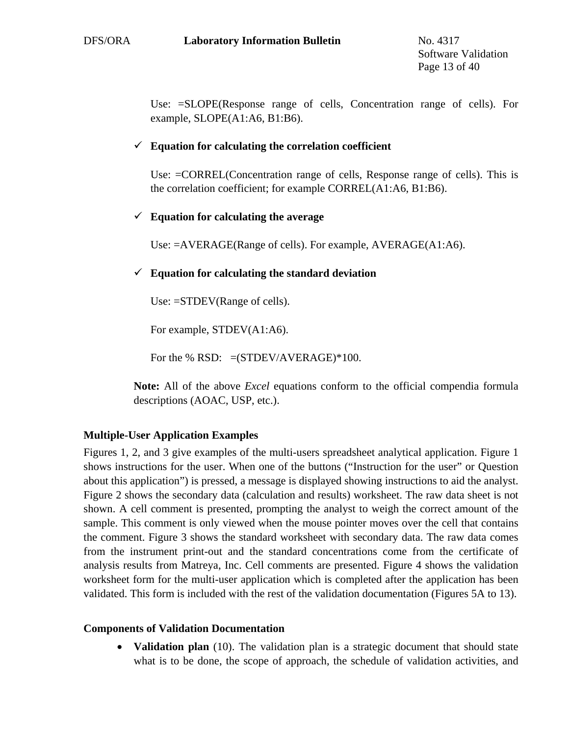Use: =SLOPE(Response range of cells, Concentration range of cells). For example, SLOPE(A1:A6, B1:B6).

# $\checkmark$  Equation for calculating the correlation coefficient

Use: =CORREL(Concentration range of cells, Response range of cells). This is the correlation coefficient; for example CORREL(A1:A6, B1:B6).

# 9 **Equation for calculating the average**

Use: =AVERAGE(Range of cells). For example, AVERAGE(A1:A6).

## $\checkmark$  Equation for calculating the standard deviation

Use:  $=$ STDEV(Range of cells).

For example, STDEV(A1:A6).

For the % RSD:  $=(STDEV/AVERAGE)*100$ .

**Note:** All of the above *Excel* equations conform to the official compendia formula descriptions (AOAC, USP, etc.).

# **Multiple-User Application Examples**

Figures 1, 2, and 3 give examples of the multi-users spreadsheet analytical application. Figure 1 shows instructions for the user. When one of the buttons ("Instruction for the user" or Question about this application") is pressed, a message is displayed showing instructions to aid the analyst. Figure 2 shows the secondary data (calculation and results) worksheet. The raw data sheet is not shown. A cell comment is presented, prompting the analyst to weigh the correct amount of the sample. This comment is only viewed when the mouse pointer moves over the cell that contains the comment. Figure 3 shows the standard worksheet with secondary data. The raw data comes from the instrument print-out and the standard concentrations come from the certificate of analysis results from Matreya, Inc. Cell comments are presented. Figure 4 shows the validation worksheet form for the multi-user application which is completed after the application has been validated. This form is included with the rest of the validation documentation (Figures 5A to 13).

#### **Components of Validation Documentation**

• **Validation plan** (10). The validation plan is a strategic document that should state what is to be done, the scope of approach, the schedule of validation activities, and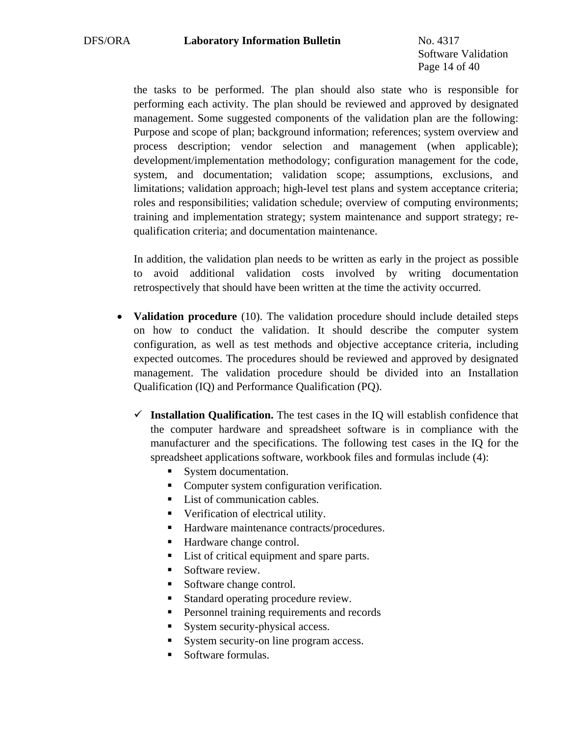Software Validation Page 14 of 40

the tasks to be performed. The plan should also state who is responsible for performing each activity. The plan should be reviewed and approved by designated management. Some suggested components of the validation plan are the following: Purpose and scope of plan; background information; references; system overview and process description; vendor selection and management (when applicable); development/implementation methodology; configuration management for the code, system, and documentation; validation scope; assumptions, exclusions, and limitations; validation approach; high-level test plans and system acceptance criteria; roles and responsibilities; validation schedule; overview of computing environments; training and implementation strategy; system maintenance and support strategy; requalification criteria; and documentation maintenance.

In addition, the validation plan needs to be written as early in the project as possible to avoid additional validation costs involved by writing documentation retrospectively that should have been written at the time the activity occurred.

- **Validation procedure** (10). The validation procedure should include detailed steps on how to conduct the validation. It should describe the computer system configuration, as well as test methods and objective acceptance criteria, including expected outcomes. The procedures should be reviewed and approved by designated management. The validation procedure should be divided into an Installation Qualification (IQ) and Performance Qualification (PQ).
	- $\checkmark$  Installation Qualification. The test cases in the IQ will establish confidence that the computer hardware and spreadsheet software is in compliance with the manufacturer and the specifications. The following test cases in the IQ for the spreadsheet applications software, workbook files and formulas include (4):
		- System documentation.
		- Computer system configuration verification.
		- List of communication cables.
		- Verification of electrical utility.
		- Hardware maintenance contracts/procedures.
		- Hardware change control.
		- List of critical equipment and spare parts.
		- Software review.
		- Software change control.
		- Standard operating procedure review.
		- **Personnel training requirements and records**
		- System security-physical access.
		- System security-on line program access.
		- Software formulas.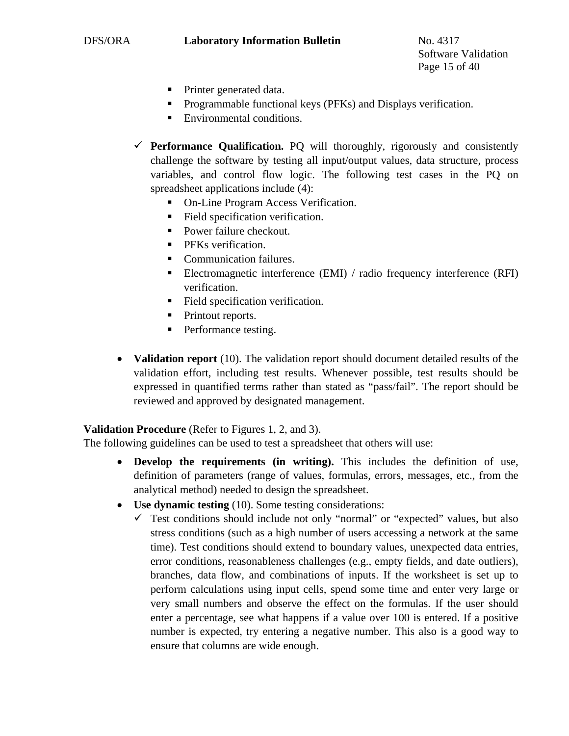Software Validation Page 15 of 40

- Printer generated data.
- Programmable functional keys (PFKs) and Displays verification.
- **Environmental conditions.**
- $\checkmark$  **Performance Qualification.** PQ will thoroughly, rigorously and consistently challenge the software by testing all input/output values, data structure, process variables, and control flow logic. The following test cases in the PQ on spreadsheet applications include (4):
	- On-Line Program Access Verification.
	- Field specification verification.
	- Power failure checkout.
	- **PFKs** verification.
	- Communication failures.
	- Electromagnetic interference (EMI) / radio frequency interference (RFI) verification.
	- Field specification verification.
	- Printout reports.
	- Performance testing.
- **Validation report** (10). The validation report should document detailed results of the validation effort, including test results. Whenever possible, test results should be expressed in quantified terms rather than stated as "pass/fail". The report should be reviewed and approved by designated management.

#### **Validation Procedure** (Refer to Figures 1, 2, and 3).

The following guidelines can be used to test a spreadsheet that others will use:

- **Develop the requirements (in writing).** This includes the definition of use, definition of parameters (range of values, formulas, errors, messages, etc., from the analytical method) needed to design the spreadsheet.
- **Use dynamic testing** (10). Some testing considerations:
	- $\checkmark$  Test conditions should include not only "normal" or "expected" values, but also stress conditions (such as a high number of users accessing a network at the same time). Test conditions should extend to boundary values, unexpected data entries, error conditions, reasonableness challenges (e.g., empty fields, and date outliers), branches, data flow, and combinations of inputs. If the worksheet is set up to perform calculations using input cells, spend some time and enter very large or very small numbers and observe the effect on the formulas. If the user should enter a percentage, see what happens if a value over 100 is entered. If a positive number is expected, try entering a negative number. This also is a good way to ensure that columns are wide enough.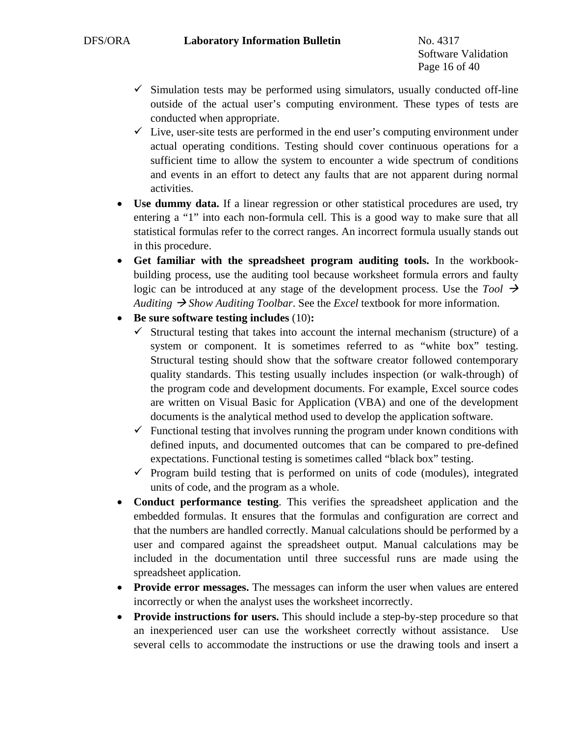Software Validation Page 16 of 40

- $\checkmark$  Simulation tests may be performed using simulators, usually conducted off-line outside of the actual user's computing environment. These types of tests are conducted when appropriate.
- $\checkmark$  Live, user-site tests are performed in the end user's computing environment under actual operating conditions. Testing should cover continuous operations for a sufficient time to allow the system to encounter a wide spectrum of conditions and events in an effort to detect any faults that are not apparent during normal activities.
- **Use dummy data.** If a linear regression or other statistical procedures are used, try entering a "1" into each non-formula cell. This is a good way to make sure that all statistical formulas refer to the correct ranges. An incorrect formula usually stands out in this procedure.
- **Get familiar with the spreadsheet program auditing tools.** In the workbookbuilding process, use the auditing tool because worksheet formula errors and faulty logic can be introduced at any stage of the development process. Use the *Tool*  $\rightarrow$ *Auditing*  $\rightarrow$  *Show Auditing Toolbar.* See the *Excel* textbook for more information.
- **Be sure software testing includes** (10)**:** 
	- $\checkmark$  Structural testing that takes into account the internal mechanism (structure) of a system or component. It is sometimes referred to as "white box" testing. Structural testing should show that the software creator followed contemporary quality standards. This testing usually includes inspection (or walk-through) of the program code and development documents. For example, Excel source codes are written on Visual Basic for Application (VBA) and one of the development documents is the analytical method used to develop the application software.
	- $\checkmark$  Functional testing that involves running the program under known conditions with defined inputs, and documented outcomes that can be compared to pre-defined expectations. Functional testing is sometimes called "black box" testing.
	- $\checkmark$  Program build testing that is performed on units of code (modules), integrated units of code, and the program as a whole.
- **Conduct performance testing**. This verifies the spreadsheet application and the embedded formulas. It ensures that the formulas and configuration are correct and that the numbers are handled correctly. Manual calculations should be performed by a user and compared against the spreadsheet output. Manual calculations may be included in the documentation until three successful runs are made using the spreadsheet application.
- **Provide error messages.** The messages can inform the user when values are entered incorrectly or when the analyst uses the worksheet incorrectly.
- **Provide instructions for users.** This should include a step-by-step procedure so that an inexperienced user can use the worksheet correctly without assistance. Use several cells to accommodate the instructions or use the drawing tools and insert a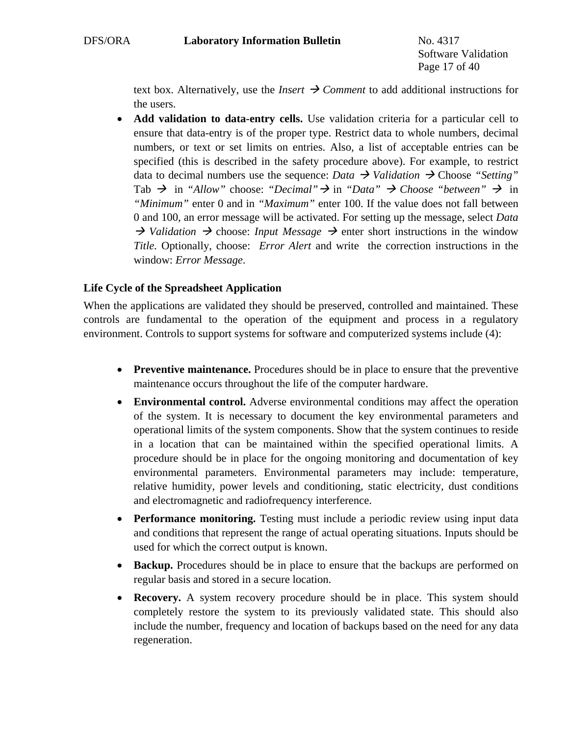Software Validation Page 17 of 40

text box. Alternatively, use the *Insert*  $\rightarrow$  *Comment* to add additional instructions for the users.

• **Add validation to data-entry cells.** Use validation criteria for a particular cell to ensure that data-entry is of the proper type. Restrict data to whole numbers, decimal numbers, or text or set limits on entries. Also, a list of acceptable entries can be specified (this is described in the safety procedure above). For example, to restrict data to decimal numbers use the sequence: *Data*  $\rightarrow$  *Validation*  $\rightarrow$  Choose "Setting" Tab  $\rightarrow$  in "Allow" choose: "Decimal"  $\rightarrow$  in "Data"  $\rightarrow$  Choose "between"  $\rightarrow$  in *"Minimum"* enter 0 and in *"Maximum"* enter 100. If the value does not fall between 0 and 100, an error message will be activated. For setting up the message, select *Data*   $\rightarrow$  *Validation*  $\rightarrow$  choose: *Input Message*  $\rightarrow$  enter short instructions in the window *Title.* Optionally, choose: *Error Alert* and write the correction instructions in the window: *Error Message*.

# **Life Cycle of the Spreadsheet Application**

When the applications are validated they should be preserved, controlled and maintained. These controls are fundamental to the operation of the equipment and process in a regulatory environment. Controls to support systems for software and computerized systems include (4):

- **Preventive maintenance.** Procedures should be in place to ensure that the preventive maintenance occurs throughout the life of the computer hardware.
- **Environmental control.** Adverse environmental conditions may affect the operation of the system. It is necessary to document the key environmental parameters and operational limits of the system components. Show that the system continues to reside in a location that can be maintained within the specified operational limits. A procedure should be in place for the ongoing monitoring and documentation of key environmental parameters. Environmental parameters may include: temperature, relative humidity, power levels and conditioning, static electricity, dust conditions and electromagnetic and radiofrequency interference.
- **Performance monitoring.** Testing must include a periodic review using input data and conditions that represent the range of actual operating situations. Inputs should be used for which the correct output is known.
- **Backup.** Procedures should be in place to ensure that the backups are performed on regular basis and stored in a secure location.
- **Recovery.** A system recovery procedure should be in place. This system should completely restore the system to its previously validated state. This should also include the number, frequency and location of backups based on the need for any data regeneration.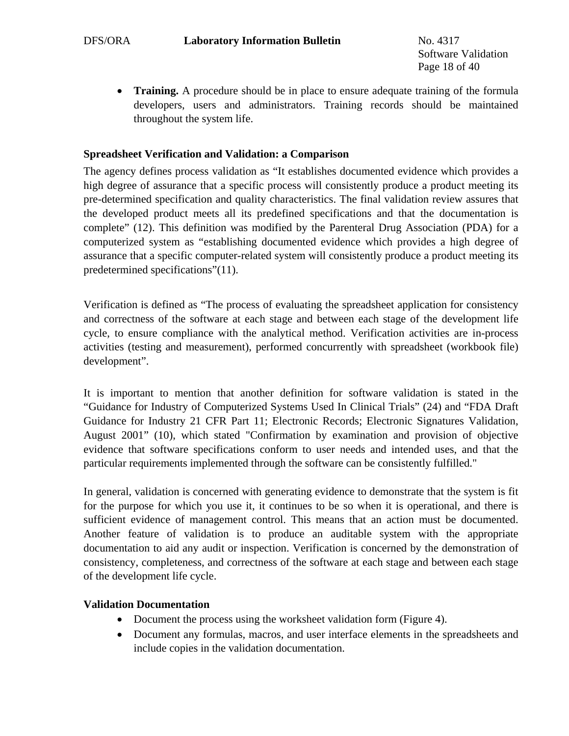Software Validation Page 18 of 40

• **Training.** A procedure should be in place to ensure adequate training of the formula developers, users and administrators. Training records should be maintained throughout the system life.

## **Spreadsheet Verification and Validation: a Comparison**

The agency defines process validation as "It establishes documented evidence which provides a high degree of assurance that a specific process will consistently produce a product meeting its pre-determined specification and quality characteristics. The final validation review assures that the developed product meets all its predefined specifications and that the documentation is complete" (12). This definition was modified by the Parenteral Drug Association (PDA) for a computerized system as "establishing documented evidence which provides a high degree of assurance that a specific computer-related system will consistently produce a product meeting its predetermined specifications"(11).

Verification is defined as "The process of evaluating the spreadsheet application for consistency and correctness of the software at each stage and between each stage of the development life cycle, to ensure compliance with the analytical method. Verification activities are in-process activities (testing and measurement), performed concurrently with spreadsheet (workbook file) development".

It is important to mention that another definition for software validation is stated in the "Guidance for Industry of Computerized Systems Used In Clinical Trials" (24) and "FDA Draft Guidance for Industry 21 CFR Part 11; Electronic Records; Electronic Signatures Validation, August 2001" (10), which stated "Confirmation by examination and provision of objective evidence that software specifications conform to user needs and intended uses, and that the particular requirements implemented through the software can be consistently fulfilled."

In general, validation is concerned with generating evidence to demonstrate that the system is fit for the purpose for which you use it, it continues to be so when it is operational, and there is sufficient evidence of management control. This means that an action must be documented. Another feature of validation is to produce an auditable system with the appropriate documentation to aid any audit or inspection. Verification is concerned by the demonstration of consistency, completeness, and correctness of the software at each stage and between each stage of the development life cycle.

#### **Validation Documentation**

- Document the process using the worksheet validation form (Figure 4).
- Document any formulas, macros, and user interface elements in the spreadsheets and include copies in the validation documentation.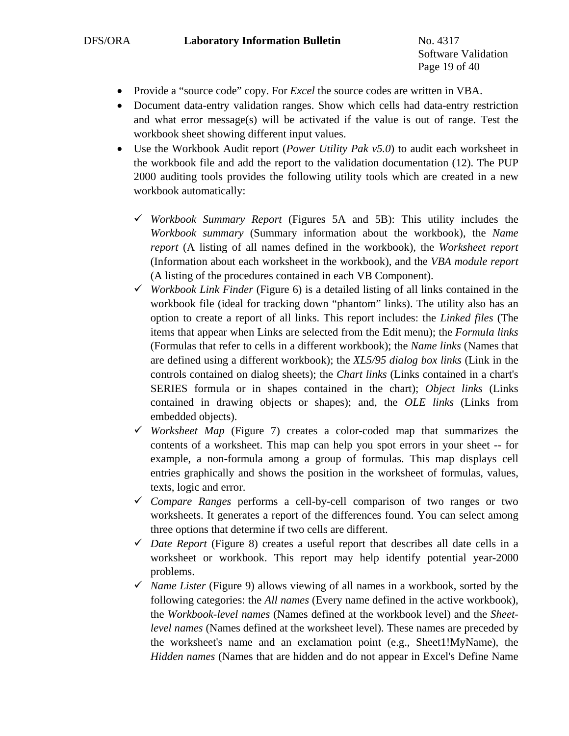Software Validation Page 19 of 40

- Provide a "source code" copy. For *Excel* the source codes are written in VBA.
- Document data-entry validation ranges. Show which cells had data-entry restriction and what error message(s) will be activated if the value is out of range. Test the workbook sheet showing different input values.
- Use the Workbook Audit report (*Power Utility Pak v5.0*) to audit each worksheet in the workbook file and add the report to the validation documentation (12). The PUP 2000 auditing tools provides the following utility tools which are created in a new workbook automatically:
	- 9 *Workbook Summary Report* (Figures 5A and 5B): This utility includes the *Workbook summary* (Summary information about the workbook), the *Name report* (A listing of all names defined in the workbook), the *Worksheet report*  (Information about each worksheet in the workbook), and the *VBA module report* (A listing of the procedures contained in each VB Component).
	- 9 *Workbook Link Finder* (Figure 6) is a detailed listing of all links contained in the workbook file (ideal for tracking down "phantom" links). The utility also has an option to create a report of all links. This report includes: the *Linked files* (The items that appear when Links are selected from the Edit menu); the *Formula links*  (Formulas that refer to cells in a different workbook); the *Name links* (Names that are defined using a different workbook); the *XL5/95 dialog box links* (Link in the controls contained on dialog sheets); the *Chart links* (Links contained in a chart's SERIES formula or in shapes contained in the chart); *Object links* (Links contained in drawing objects or shapes); and, the *OLE links* (Links from embedded objects).
	- $\checkmark$  *Worksheet Map* (Figure 7) creates a color-coded map that summarizes the contents of a worksheet. This map can help you spot errors in your sheet -- for example, a non-formula among a group of formulas. This map displays cell entries graphically and shows the position in the worksheet of formulas, values, texts, logic and error.
	- 9 *Compare Ranges* performs a cell-by-cell comparison of two ranges or two worksheets. It generates a report of the differences found. You can select among three options that determine if two cells are different.
	- $\checkmark$  *Date Report* (Figure 8) creates a useful report that describes all date cells in a worksheet or workbook. This report may help identify potential year-2000 problems.
	- $\checkmark$  *Name Lister* (Figure 9) allows viewing of all names in a workbook, sorted by the following categories: the *All names* (Every name defined in the active workbook), the *Workbook-level names* (Names defined at the workbook level) and the *Sheetlevel names* (Names defined at the worksheet level). These names are preceded by the worksheet's name and an exclamation point (e.g., Sheet1!MyName), the *Hidden names* (Names that are hidden and do not appear in Excel's Define Name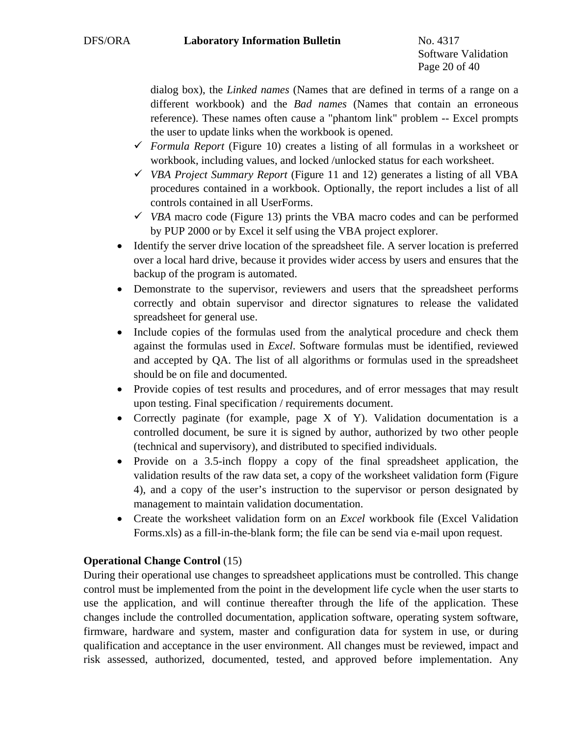Software Validation Page 20 of 40

dialog box), the *Linked names* (Names that are defined in terms of a range on a different workbook) and the *Bad names* (Names that contain an erroneous reference). These names often cause a "phantom link" problem -- Excel prompts the user to update links when the workbook is opened.

- $\checkmark$  *Formula Report* (Figure 10) creates a listing of all formulas in a worksheet or workbook, including values, and locked /unlocked status for each worksheet.
- 9 *VBA Project Summary Report* (Figure 11 and 12) generates a listing of all VBA procedures contained in a workbook. Optionally, the report includes a list of all controls contained in all UserForms.
- $\checkmark$  *VBA* macro code (Figure 13) prints the VBA macro codes and can be performed by PUP 2000 or by Excel it self using the VBA project explorer.
- Identify the server drive location of the spreadsheet file. A server location is preferred over a local hard drive, because it provides wider access by users and ensures that the backup of the program is automated.
- Demonstrate to the supervisor, reviewers and users that the spreadsheet performs correctly and obtain supervisor and director signatures to release the validated spreadsheet for general use.
- Include copies of the formulas used from the analytical procedure and check them against the formulas used in *Excel*. Software formulas must be identified, reviewed and accepted by QA. The list of all algorithms or formulas used in the spreadsheet should be on file and documented.
- Provide copies of test results and procedures, and of error messages that may result upon testing. Final specification / requirements document.
- Correctly paginate (for example, page X of Y). Validation documentation is a controlled document, be sure it is signed by author, authorized by two other people (technical and supervisory), and distributed to specified individuals.
- Provide on a 3.5-inch floppy a copy of the final spreadsheet application, the validation results of the raw data set, a copy of the worksheet validation form (Figure 4), and a copy of the user's instruction to the supervisor or person designated by management to maintain validation documentation.
- Create the worksheet validation form on an *Excel* workbook file (Excel Validation Forms.xls) as a fill-in-the-blank form; the file can be send via e-mail upon request.

# **Operational Change Control** (15)

During their operational use changes to spreadsheet applications must be controlled. This change control must be implemented from the point in the development life cycle when the user starts to use the application, and will continue thereafter through the life of the application. These changes include the controlled documentation, application software, operating system software, firmware, hardware and system, master and configuration data for system in use, or during qualification and acceptance in the user environment. All changes must be reviewed, impact and risk assessed, authorized, documented, tested, and approved before implementation. Any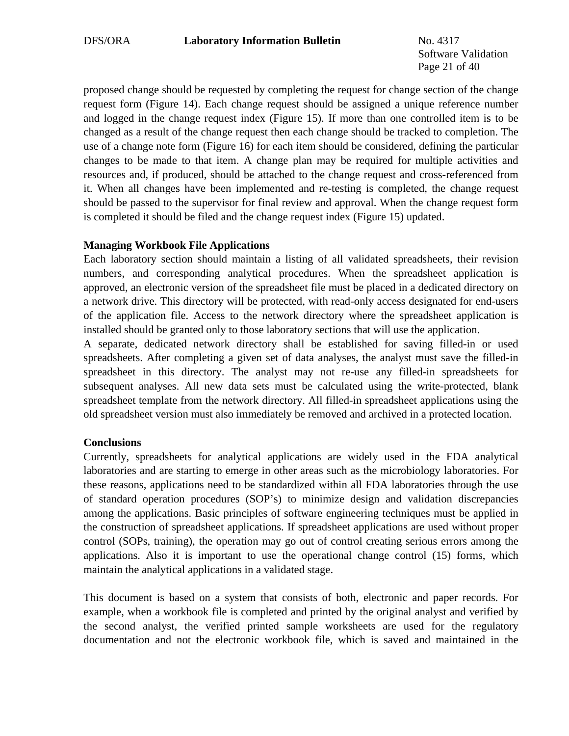Software Validation Page 21 of 40

proposed change should be requested by completing the request for change section of the change request form (Figure 14). Each change request should be assigned a unique reference number and logged in the change request index (Figure 15). If more than one controlled item is to be changed as a result of the change request then each change should be tracked to completion. The use of a change note form (Figure 16) for each item should be considered, defining the particular changes to be made to that item. A change plan may be required for multiple activities and resources and, if produced, should be attached to the change request and cross-referenced from it. When all changes have been implemented and re-testing is completed, the change request should be passed to the supervisor for final review and approval. When the change request form is completed it should be filed and the change request index (Figure 15) updated.

## **Managing Workbook File Applications**

Each laboratory section should maintain a listing of all validated spreadsheets, their revision numbers, and corresponding analytical procedures. When the spreadsheet application is approved, an electronic version of the spreadsheet file must be placed in a dedicated directory on a network drive. This directory will be protected, with read-only access designated for end-users of the application file. Access to the network directory where the spreadsheet application is installed should be granted only to those laboratory sections that will use the application.

A separate, dedicated network directory shall be established for saving filled-in or used spreadsheets. After completing a given set of data analyses, the analyst must save the filled-in spreadsheet in this directory. The analyst may not re-use any filled-in spreadsheets for subsequent analyses. All new data sets must be calculated using the write-protected, blank spreadsheet template from the network directory. All filled-in spreadsheet applications using the old spreadsheet version must also immediately be removed and archived in a protected location.

# **Conclusions**

Currently, spreadsheets for analytical applications are widely used in the FDA analytical laboratories and are starting to emerge in other areas such as the microbiology laboratories. For these reasons, applications need to be standardized within all FDA laboratories through the use of standard operation procedures (SOP's) to minimize design and validation discrepancies among the applications. Basic principles of software engineering techniques must be applied in the construction of spreadsheet applications. If spreadsheet applications are used without proper control (SOPs, training), the operation may go out of control creating serious errors among the applications. Also it is important to use the operational change control (15) forms, which maintain the analytical applications in a validated stage.

This document is based on a system that consists of both, electronic and paper records. For example, when a workbook file is completed and printed by the original analyst and verified by the second analyst, the verified printed sample worksheets are used for the regulatory documentation and not the electronic workbook file, which is saved and maintained in the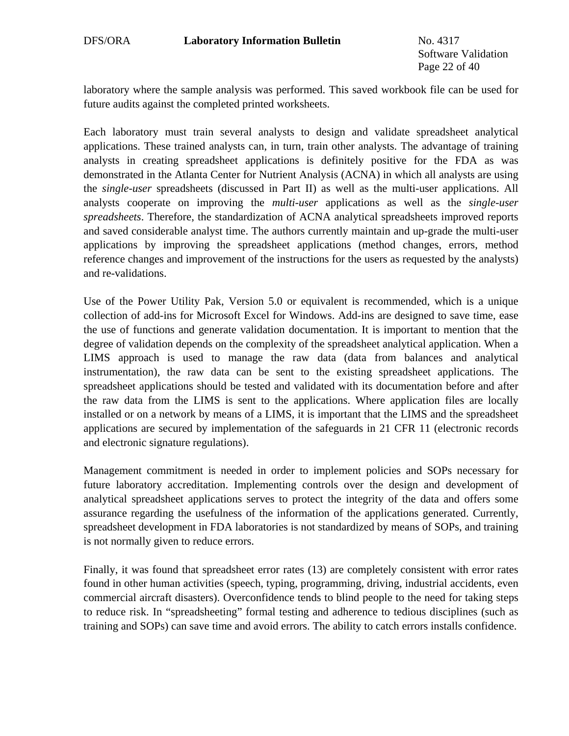Software Validation Page 22 of 40

laboratory where the sample analysis was performed. This saved workbook file can be used for future audits against the completed printed worksheets.

Each laboratory must train several analysts to design and validate spreadsheet analytical applications. These trained analysts can, in turn, train other analysts. The advantage of training analysts in creating spreadsheet applications is definitely positive for the FDA as was demonstrated in the Atlanta Center for Nutrient Analysis (ACNA) in which all analysts are using the *single-user* spreadsheets (discussed in Part II) as well as the multi-user applications. All analysts cooperate on improving the *multi-user* applications as well as the *single-user spreadsheets*. Therefore, the standardization of ACNA analytical spreadsheets improved reports and saved considerable analyst time. The authors currently maintain and up-grade the multi-user applications by improving the spreadsheet applications (method changes, errors, method reference changes and improvement of the instructions for the users as requested by the analysts) and re-validations.

Use of the Power Utility Pak, Version 5.0 or equivalent is recommended, which is a unique collection of add-ins for Microsoft Excel for Windows. Add-ins are designed to save time, ease the use of functions and generate validation documentation. It is important to mention that the degree of validation depends on the complexity of the spreadsheet analytical application. When a LIMS approach is used to manage the raw data (data from balances and analytical instrumentation), the raw data can be sent to the existing spreadsheet applications. The spreadsheet applications should be tested and validated with its documentation before and after the raw data from the LIMS is sent to the applications. Where application files are locally installed or on a network by means of a LIMS, it is important that the LIMS and the spreadsheet applications are secured by implementation of the safeguards in 21 CFR 11 (electronic records and electronic signature regulations).

Management commitment is needed in order to implement policies and SOPs necessary for future laboratory accreditation. Implementing controls over the design and development of analytical spreadsheet applications serves to protect the integrity of the data and offers some assurance regarding the usefulness of the information of the applications generated. Currently, spreadsheet development in FDA laboratories is not standardized by means of SOPs, and training is not normally given to reduce errors.

Finally, it was found that spreadsheet error rates (13) are completely consistent with error rates found in other human activities (speech, typing, programming, driving, industrial accidents, even commercial aircraft disasters). Overconfidence tends to blind people to the need for taking steps to reduce risk. In "spreadsheeting" formal testing and adherence to tedious disciplines (such as training and SOPs) can save time and avoid errors. The ability to catch errors installs confidence.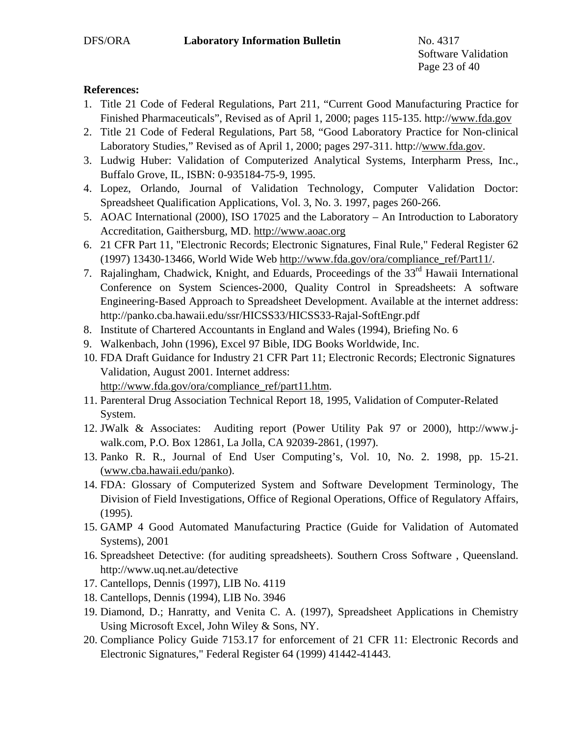Software Validation Page 23 of 40

## **References:**

- 1. Title 21 Code of Federal Regulations, Part 211, "Current Good Manufacturing Practice for Finished Pharmaceuticals", Revised as of April 1, 2000; pages 115-135. http://[www.fda.gov](http://www.fda.gov/)
- 2. Title 21 Code of Federal Regulations, Part 58, "Good Laboratory Practice for Non-clinical Laboratory Studies," Revised as of April 1, 2000; pages 297-311. http:/[/www.fda.gov.](http://www.fda.gov/)
- 3. Ludwig Huber: Validation of Computerized Analytical Systems, Interpharm Press, Inc., Buffalo Grove, IL, ISBN: 0-935184-75-9, 1995.
- 4. Lopez, Orlando, Journal of Validation Technology, Computer Validation Doctor: Spreadsheet Qualification Applications, Vol. 3, No. 3. 1997, pages 260-266.
- 5. AOAC International (2000), ISO 17025 and the Laboratory An Introduction to Laboratory Accreditation, Gaithersburg, MD. [http://www.aoac.org](http://www.aoac.org/)
- 6. 21 CFR Part 11, "Electronic Records; Electronic Signatures, Final Rule," Federal Register 62 (1997) 13430-13466, World Wide Web [http://www.fda.gov/ora/compliance\\_ref/Part11/.](http://www.fda.gov/)
- 7. Rajalingham, Chadwick, Knight, and Eduards, Proceedings of the 33<sup>rd</sup> Hawaii International Conference on System Sciences-2000, Quality Control in Spreadsheets: A software Engineering-Based Approach to Spreadsheet Development. Available at the internet address: http://panko.cba.hawaii.edu/ssr/HICSS33/HICSS33-Rajal-SoftEngr.pdf
- 8. Institute of Chartered Accountants in England and Wales (1994), Briefing No. 6
- 9. Walkenbach, John (1996), Excel 97 Bible, IDG Books Worldwide, Inc.
- 10. FDA Draft Guidance for Industry 21 CFR Part 11; Electronic Records; Electronic Signatures Validation, August 2001. Internet address: [http://www.fda.gov/ora/compliance\\_ref/part11.htm](http://www.fda.gov/ora/compliance_ref/part11.htm).
- 11. Parenteral Drug Association Technical Report 18, 1995, Validation of Computer-Related System.
- 12. JWalk & Associates: Auditing report (Power Utility Pak 97 or 2000), http://www.jwalk.com, P.O. Box 12861, La Jolla, CA 92039-2861, (1997).
- 13. Panko R. R., Journal of End User Computing's, Vol. 10, No. 2. 1998, pp. 15-21. ([www.cba.hawaii.edu/panko\)](http://www.cba.hawaii.edu/panko).
- 14. FDA: Glossary of Computerized System and Software Development Terminology, The Division of Field Investigations, Office of Regional Operations, Office of Regulatory Affairs, (1995).
- 15. GAMP 4 Good Automated Manufacturing Practice (Guide for Validation of Automated Systems), 2001
- 16. Spreadsheet Detective: (for auditing spreadsheets). Southern Cross Software , Queensland. http://www.uq.net.au/detective
- 17. Cantellops, Dennis (1997), LIB No. 4119
- 18. Cantellops, Dennis (1994), LIB No. 3946
- 19. Diamond, D.; Hanratty, and Venita C. A. (1997), Spreadsheet Applications in Chemistry Using Microsoft Excel, John Wiley & Sons, NY.
- 20. Compliance Policy Guide 7153.17 for enforcement of 21 CFR 11: Electronic Records and Electronic Signatures," Federal Register 64 (1999) 41442-41443.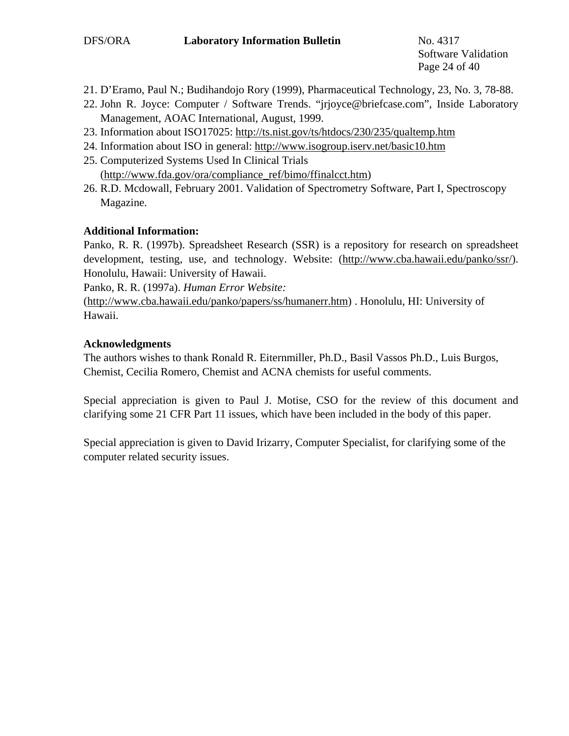Software Validation Page 24 of 40

- 21. D'Eramo, Paul N.; Budihandojo Rory (1999), Pharmaceutical Technology, 23, No. 3, 78-88.
- 22. John R. Joyce: Computer / Software Trends. "jrjoyce@briefcase.com", Inside Laboratory Management, AOAC International, August, 1999.
- 23. Information about ISO17025: <http://ts.nist.gov/ts/htdocs/230/235/qualtemp.htm>
- 24. Information about ISO in general:<http://www.isogroup.iserv.net/basic10.htm>
- 25. Computerized Systems Used In Clinical Trials ([http://www.fda.gov/ora/compliance\\_ref/bimo/ffinalcct.htm\)](http://www.fda.gov/ora/compliance_ref/bimo/ffinalcct.htm)
- 26. R.D. Mcdowall, February 2001. Validation of Spectrometry Software, Part I, Spectroscopy Magazine.

#### **Additional Information:**

Panko, R. R. (1997b). Spreadsheet Research (SSR) is a repository for research on spreadsheet development, testing, use, and technology. Website: ([http://www.cba.hawaii.edu/panko/ssr/\)](http://www.cba.hawaii.edu/panko/ssr/). Honolulu, Hawaii: University of Hawaii.

Panko, R. R. (1997a). *Human Error Website:*

([http://www.cba.hawaii.edu/panko/papers/ss/humanerr.htm\)](http://www.cba.hawaii.edu/panko/papers/ss/humanerr.htm) . Honolulu, HI: University of Hawaii.

## **Acknowledgments**

The authors wishes to thank Ronald R. Eiternmiller, Ph.D., Basil Vassos Ph.D., Luis Burgos, Chemist, Cecilia Romero, Chemist and ACNA chemists for useful comments.

Special appreciation is given to Paul J. Motise, CSO for the review of this document and clarifying some 21 CFR Part 11 issues, which have been included in the body of this paper.

Special appreciation is given to David Irizarry, Computer Specialist, for clarifying some of the computer related security issues.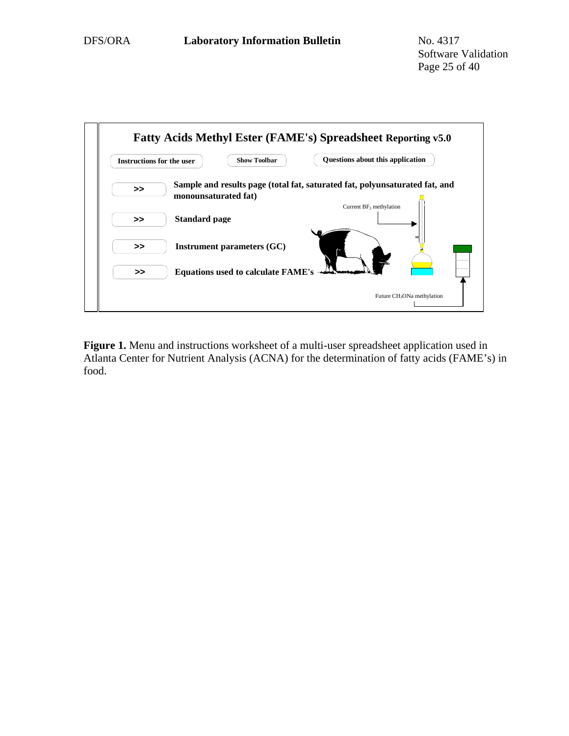

**Figure 1.** Menu and instructions worksheet of a multi-user spreadsheet application used in Atlanta Center for Nutrient Analysis (ACNA) for the determination of fatty acids (FAME's) in food.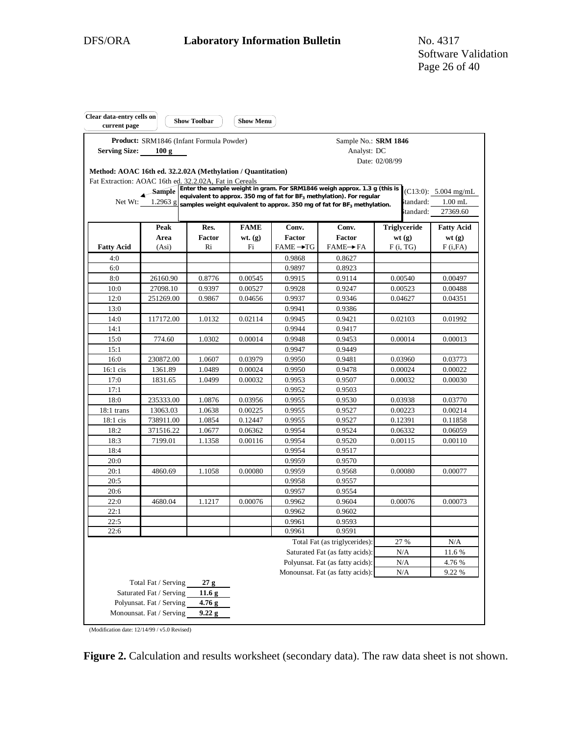| Clear data-entry cells on<br>current page                   |                                                   | <b>Show Toolbar</b> | <b>Show Menu</b>   |                       |                                                                                                                                                                 |                    |                         |
|-------------------------------------------------------------|---------------------------------------------------|---------------------|--------------------|-----------------------|-----------------------------------------------------------------------------------------------------------------------------------------------------------------|--------------------|-------------------------|
| <b>Serving Size:</b>                                        | Product: SRM1846 (Infant Formula Powder)<br>100 g |                     |                    |                       | Sample No.: SRM 1846<br>Analyst: DC                                                                                                                             |                    |                         |
|                                                             |                                                   |                     |                    |                       |                                                                                                                                                                 | Date: 02/08/99     |                         |
| Method: AOAC 16th ed. 32.2.02A (Methylation / Quantitation) |                                                   |                     |                    |                       |                                                                                                                                                                 |                    |                         |
| Fat Extraction: AOAC 16th ed. 32.2.02A, Fat in Cereals      |                                                   |                     |                    |                       |                                                                                                                                                                 |                    |                         |
|                                                             | Sample                                            |                     |                    |                       | Enter the sample weight in gram. For SRM1846 weigh approx. 1.3 g (this is                                                                                       |                    | $(C13:0)$ : 5.004 mg/mL |
|                                                             | Net Wt: 1.2963 g                                  |                     |                    |                       | equivalent to approx. 350 mg of fat for BF <sub>3</sub> methylation). For regular<br>samples weight equivalent to approx. 350 mg of fat for $BF_3$ methylation. |                    | standard: 1.00 mL       |
|                                                             |                                                   |                     |                    |                       |                                                                                                                                                                 |                    | standard: 27369.60      |
|                                                             | Peak                                              | Res.                | <b>FAME</b>        | Conv.                 | Conv.                                                                                                                                                           | Triglyceride       | <b>Fatty Acid</b>       |
|                                                             | Area                                              | Factor              | $wt.$ (g)          | Factor                | Factor                                                                                                                                                          | wt(g)              | wt(g)                   |
| <b>Fatty Acid</b>                                           | (Asi)                                             | Ri                  | Fi                 | $FAME \rightarrow TG$ | FAME→ FA                                                                                                                                                        | F(i, TG)           | F(i,FA)                 |
| 4:0                                                         |                                                   |                     |                    | 0.9868                | 0.8627                                                                                                                                                          |                    |                         |
| 6:0                                                         |                                                   |                     |                    | 0.9897                | 0.8923                                                                                                                                                          |                    |                         |
| 8:0                                                         | 26160.90                                          | 0.8776              | 0.00545            | 0.9915                | 0.9114                                                                                                                                                          | 0.00540            | 0.00497                 |
| 10:0                                                        | 27098.10                                          | 0.9397              | 0.00527            | 0.9928                | 0.9247                                                                                                                                                          | 0.00523            | 0.00488                 |
| 12:0                                                        | 251269.00                                         | 0.9867              | 0.04656            | 0.9937                | 0.9346                                                                                                                                                          | 0.04627            | 0.04351                 |
| 13:0                                                        |                                                   |                     |                    | 0.9941                | 0.9386                                                                                                                                                          |                    |                         |
| 14:0                                                        | 117172.00                                         | 1.0132              | 0.02114            | 0.9945                | 0.9421                                                                                                                                                          | 0.02103            | 0.01992                 |
| 14:1                                                        |                                                   |                     |                    | 0.9944                | 0.9417                                                                                                                                                          |                    |                         |
| 15:0                                                        | 774.60                                            | 1.0302              | 0.00014            | 0.9948                | 0.9453                                                                                                                                                          | 0.00014            | 0.00013                 |
| 15:1                                                        |                                                   |                     |                    | 0.9947                | 0.9449                                                                                                                                                          |                    |                         |
| 16:0                                                        | 230872.00                                         | 1.0607              | 0.03979            | 0.9950                | 0.9481                                                                                                                                                          | 0.03960            | 0.03773                 |
| $16:1$ cis                                                  | 1361.89                                           | 1.0489              | 0.00024            | 0.9950                | 0.9478                                                                                                                                                          | 0.00024            | 0.00022                 |
| 17:0                                                        | 1831.65                                           | 1.0499              | 0.00032            | 0.9953                | 0.9507                                                                                                                                                          | 0.00032            | 0.00030                 |
| 17:1                                                        |                                                   |                     |                    | 0.9952                | 0.9503                                                                                                                                                          |                    |                         |
| 18:0                                                        | 235333.00                                         | 1.0876              | 0.03956            | 0.9955                | 0.9530                                                                                                                                                          | 0.03938            | 0.03770                 |
| 18:1 trans<br>$18:1$ cis                                    | 13063.03<br>738911.00                             | 1.0638<br>1.0854    | 0.00225<br>0.12447 | 0.9955<br>0.9955      | 0.9527<br>0.9527                                                                                                                                                | 0.00223<br>0.12391 | 0.00214<br>0.11858      |
| 18:2                                                        | 371516.22                                         | 1.0677              | 0.06362            | 0.9954                | 0.9524                                                                                                                                                          | 0.06332            | 0.06059                 |
| 18:3                                                        | 7199.01                                           | 1.1358              | 0.00116            | 0.9954                | 0.9520                                                                                                                                                          | 0.00115            | 0.00110                 |
| 18:4                                                        |                                                   |                     |                    | 0.9954                | 0.9517                                                                                                                                                          |                    |                         |
| 20:0                                                        |                                                   |                     |                    | 0.9959                | 0.9570                                                                                                                                                          |                    |                         |
| 20:1                                                        | 4860.69                                           | 1.1058              | 0.00080            | 0.9959                | 0.9568                                                                                                                                                          | 0.00080            | 0.00077                 |
| 20:5                                                        |                                                   |                     |                    | 0.9958                | 0.9557                                                                                                                                                          |                    |                         |
| 20:6                                                        |                                                   |                     |                    | 0.9957                | 0.9554                                                                                                                                                          |                    |                         |
| 22:0                                                        | 4680.04                                           | 1.1217              | 0.00076            | 0.9962                | 0.9604                                                                                                                                                          | 0.00076            | 0.00073                 |
| 22:1                                                        |                                                   |                     |                    | 0.9962                | 0.9602                                                                                                                                                          |                    |                         |
| 22:5                                                        |                                                   |                     |                    | 0.9961                | 0.9593                                                                                                                                                          |                    |                         |
| 22:6                                                        |                                                   |                     |                    | 0.9961                | 0.9591                                                                                                                                                          |                    |                         |
|                                                             |                                                   |                     |                    |                       | Total Fat (as triglycerides):                                                                                                                                   | 27 %               | N/A                     |
|                                                             |                                                   |                     |                    |                       | Saturated Fat (as fatty acids):                                                                                                                                 | N/A                | 11.6 %                  |
|                                                             |                                                   |                     |                    |                       | Polyunsat. Fat (as fatty acids):                                                                                                                                | N/A                | 4.76 %                  |
|                                                             |                                                   |                     |                    |                       | Monounsat. Fat (as fatty acids):                                                                                                                                | N/A                | 9.22 %                  |
|                                                             | Total Fat / Serving                               | 27 g                |                    |                       |                                                                                                                                                                 |                    |                         |
|                                                             | Saturated Fat / Serving                           | 11.6 <sub>g</sub>   |                    |                       |                                                                                                                                                                 |                    |                         |
|                                                             | Polyunsat. Fat / Serving                          | $4.76$ g            |                    |                       |                                                                                                                                                                 |                    |                         |
|                                                             | Monounsat. Fat / Serving                          | 9.22 g              |                    |                       |                                                                                                                                                                 |                    |                         |
|                                                             |                                                   |                     |                    |                       |                                                                                                                                                                 |                    |                         |

(Modification date: 12/14/99 / v5.0 Revised)

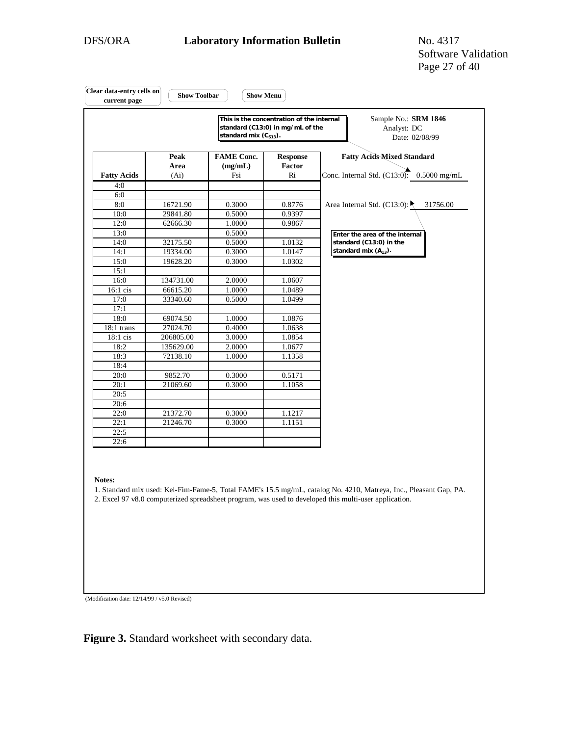Software Validation Page 27 of 40

|                    |                                   | This is the concentration of the internal<br>standard (C13:0) in mg/mL of the<br>standard mix $(C_{S13})$ . |                                 | Sample No.: SRM 1846<br>Analyst: DC<br>Date: 02/08/99                             |
|--------------------|-----------------------------------|-------------------------------------------------------------------------------------------------------------|---------------------------------|-----------------------------------------------------------------------------------|
| <b>Fatty Acids</b> | Peak<br>Area<br>(A <sub>i</sub> ) | <b>FAME Conc.</b><br>(mg/mL)<br>Fsi                                                                         | <b>Response</b><br>Factor<br>Ri | <b>Fatty Acids Mixed Standard</b><br>Conc. Internal Std. $(C13:0)$ : 0.5000 mg/mL |
| 4:0                |                                   |                                                                                                             |                                 |                                                                                   |
| 6:0                |                                   |                                                                                                             |                                 |                                                                                   |
| 8:0                | 16721.90                          | 0.3000                                                                                                      | 0.8776                          | Area Internal Std. (C13:0):<br>31756.00                                           |
| 10:0               | 29841.80                          | 0.5000                                                                                                      | 0.9397                          |                                                                                   |
| 12:0               | 62666.30                          | 1.0000                                                                                                      | 0.9867                          |                                                                                   |
| 13:0               |                                   | 0.5000                                                                                                      |                                 | Enter the area of the internal                                                    |
| 14:0               | 32175.50                          | 0.5000                                                                                                      | 1.0132                          | standard (C13:0) in the                                                           |
| 14:1               | 19334.00                          | 0.3000                                                                                                      | 1.0147                          | standard mix $(A_{13})$ .                                                         |
| 15:0               | 19628.20                          | 0.3000                                                                                                      | 1.0302                          |                                                                                   |
| 15:1               |                                   |                                                                                                             |                                 |                                                                                   |
| 16:0               | 134731.00                         | 2.0000                                                                                                      | 1.0607                          |                                                                                   |
| $16:1$ cis         | 66615.20                          | 1.0000                                                                                                      | 1.0489                          |                                                                                   |
| 17:0               | 33340.60                          | 0.5000                                                                                                      | 1.0499                          |                                                                                   |
| 17:1               |                                   |                                                                                                             |                                 |                                                                                   |
| 18:0               | 69074.50                          | 1.0000                                                                                                      | 1.0876                          |                                                                                   |
| $18:1$ trans       | 27024.70                          | 0.4000                                                                                                      | 1.0638                          |                                                                                   |
| 18:1 cis           | 206805.00                         | 3.0000                                                                                                      | 1.0854                          |                                                                                   |
| 18:2               | 135629.00                         | 2.0000                                                                                                      | 1.0677                          |                                                                                   |
| 18:3               | 72138.10                          | 1.0000                                                                                                      | 1.1358                          |                                                                                   |
| 18:4               |                                   |                                                                                                             |                                 |                                                                                   |
| 20:0               | 9852.70                           | 0.3000                                                                                                      | 0.5171                          |                                                                                   |
| 20:1               | 21069.60                          | 0.3000                                                                                                      | 1.1058                          |                                                                                   |
| 20:5               |                                   |                                                                                                             |                                 |                                                                                   |
| 20:6               |                                   |                                                                                                             |                                 |                                                                                   |
| 22:0               | 21372.70                          | 0.3000                                                                                                      | 1.1217                          |                                                                                   |
| 22:1               | 21246.70                          | 0.3000                                                                                                      | 1.1151                          |                                                                                   |
| 22:5               |                                   |                                                                                                             |                                 |                                                                                   |
| 22:6               |                                   |                                                                                                             |                                 |                                                                                   |
| Notes:             |                                   |                                                                                                             |                                 |                                                                                   |

(Modification date: 12/14/99 / v5.0 Revised)

**Figure 3.** Standard worksheet with secondary data.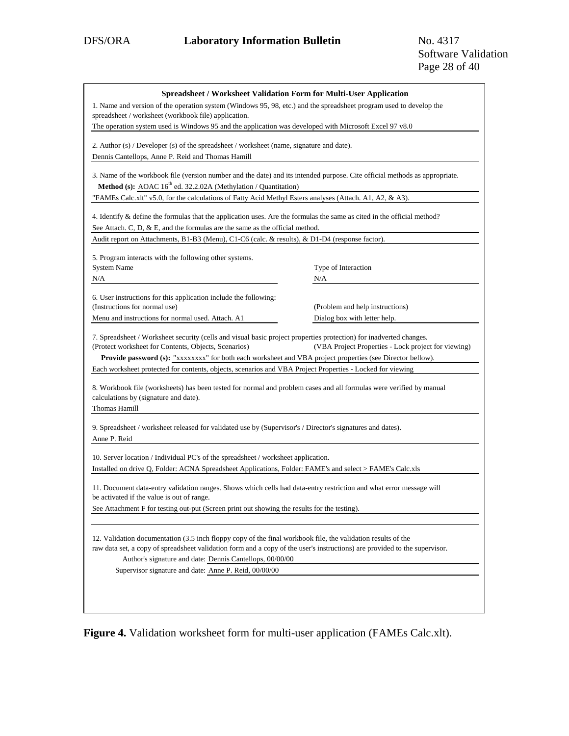| <b>Spreadsheet / Worksheet Validation Form for Multi-User Application</b>                                                                                                                                                                                                                              |                                                     |
|--------------------------------------------------------------------------------------------------------------------------------------------------------------------------------------------------------------------------------------------------------------------------------------------------------|-----------------------------------------------------|
| 1. Name and version of the operation system (Windows 95, 98, etc.) and the spreadsheet program used to develop the<br>spreadsheet / worksheet (workbook file) application.                                                                                                                             |                                                     |
| The operation system used is Windows 95 and the application was developed with Microsoft Excel 97 v8.0                                                                                                                                                                                                 |                                                     |
| 2. Author $(s)$ / Developer $(s)$ of the spreadsheet / worksheet (name, signature and date).                                                                                                                                                                                                           |                                                     |
| Dennis Cantellops, Anne P. Reid and Thomas Hamill                                                                                                                                                                                                                                                      |                                                     |
| 3. Name of the workbook file (version number and the date) and its intended purpose. Cite official methods as appropriate.<br>Method (s): AOAC 16 <sup>th</sup> ed. 32.2.02A (Methylation / Quantitation)                                                                                              |                                                     |
| "FAMEs Calc.xlt" v5.0, for the calculations of Fatty Acid Methyl Esters analyses (Attach. A1, A2, & A3).                                                                                                                                                                                               |                                                     |
| 4. Identify & define the formulas that the application uses. Are the formulas the same as cited in the official method?<br>See Attach. C, D, & E, and the formulas are the same as the official method.                                                                                                |                                                     |
| Audit report on Attachments, B1-B3 (Menu), C1-C6 (calc. & results), & D1-D4 (response factor).                                                                                                                                                                                                         |                                                     |
| 5. Program interacts with the following other systems.                                                                                                                                                                                                                                                 |                                                     |
| <b>System Name</b>                                                                                                                                                                                                                                                                                     | Type of Interaction                                 |
| N/A                                                                                                                                                                                                                                                                                                    | N/A                                                 |
| 6. User instructions for this application include the following:                                                                                                                                                                                                                                       |                                                     |
| (Instructions for normal use)                                                                                                                                                                                                                                                                          | (Problem and help instructions)                     |
| Menu and instructions for normal used. Attach. A1                                                                                                                                                                                                                                                      | Dialog box with letter help.                        |
| 7. Spreadsheet / Worksheet security (cells and visual basic project properties protection) for inadverted changes.<br>(Protect worksheet for Contents, Objects, Scenarios)<br>Provide password (s): "xxxxxxxx" for both each worksheet and VBA project properties (see Director bellow).               | (VBA Project Properties - Lock project for viewing) |
| Each worksheet protected for contents, objects, scenarios and VBA Project Properties - Locked for viewing                                                                                                                                                                                              |                                                     |
| 8. Workbook file (worksheets) has been tested for normal and problem cases and all formulas were verified by manual<br>calculations by (signature and date).<br>Thomas Hamill                                                                                                                          |                                                     |
| 9. Spreadsheet / worksheet released for validated use by (Supervisor's / Director's signatures and dates).<br>Anne P. Reid                                                                                                                                                                             |                                                     |
| 10. Server location / Individual PC's of the spreadsheet / worksheet application.                                                                                                                                                                                                                      |                                                     |
| Installed on drive Q, Folder: ACNA Spreadsheet Applications, Folder: FAME's and select > FAME's Calc.xls                                                                                                                                                                                               |                                                     |
| 11. Document data-entry validation ranges. Shows which cells had data-entry restriction and what error message will<br>be activated if the value is out of range.                                                                                                                                      |                                                     |
| See Attachment F for testing out-put (Screen print out showing the results for the testing).                                                                                                                                                                                                           |                                                     |
| 12. Validation documentation (3.5 inch floppy copy of the final workbook file, the validation results of the<br>raw data set, a copy of spreadsheet validation form and a copy of the user's instructions) are provided to the supervisor.<br>Author's signature and date: Dennis Cantellops, 00/00/00 |                                                     |
| Supervisor signature and date: Anne P. Reid, 00/00/00                                                                                                                                                                                                                                                  |                                                     |
|                                                                                                                                                                                                                                                                                                        |                                                     |
|                                                                                                                                                                                                                                                                                                        |                                                     |
|                                                                                                                                                                                                                                                                                                        |                                                     |

**Figure 4.** Validation worksheet form for multi-user application (FAMEs Calc.xlt).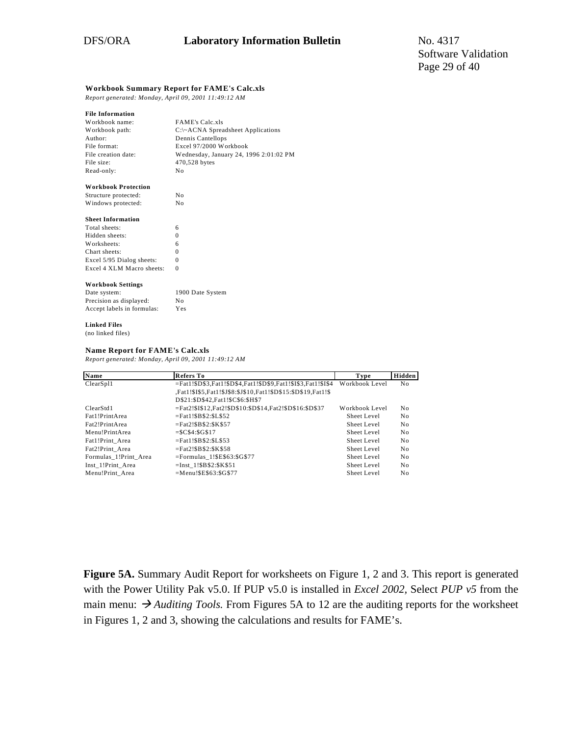#### **Workbook Summary Report for FAME's Calc.xls**

*Report generated: Monday, April 09, 2001 11:49:12 AM*

#### **File Information**

| Workbook name:      | <b>FAME's Calc.xls</b>                 |
|---------------------|----------------------------------------|
| Workbook path:      | $C:\ \A$ CNA Spreadsheet Applications  |
| Author:             | Dennis Cantellops                      |
| File format:        | Excel 97/2000 Workbook                 |
| File creation date: | Wednesday, January 24, 1996 2:01:02 PM |
| File size:          | 470,528 bytes                          |
| Read-only:          | No.                                    |
|                     |                                        |

#### **Workbook Protection**

| Structure protected: | Nο |
|----------------------|----|
| Windows protected:   | Nο |

#### **Sheet Information**

| Total sheets:             | 6 |
|---------------------------|---|
| Hidden sheets:            | 0 |
| Worksheets:               | 6 |
| Chart sheets:             | 0 |
| Excel 5/95 Dialog sheets: | 0 |
| Excel 4 XLM Macro sheets: | 0 |

#### **Workbook Settings**

| Date system:               | 1900 Date System |
|----------------------------|------------------|
| Precision as displayed:    | No.              |
| Accept labels in formulas: | Yes              |

#### **Linked Files** (no linked files)

#### **Name Report for FAME's Calc.xls**

*Report generated: Monday, April 09, 2001 11:49:12 AM*

| Name                  | <b>Refers To</b>                                              | Type           | Hidden         |
|-----------------------|---------------------------------------------------------------|----------------|----------------|
| ClearSp11             | =Fat1!\$D\$3,Fat1!\$D\$4,Fat1!\$D\$9,Fat1!\$I\$3,Fat1!\$I\$4  | Workbook Level | No             |
|                       | ,Fat1!\$I\$5,Fat1!\$J\$8:\$J\$10,Fat1!\$D\$15:\$D\$19,Fat1!\$ |                |                |
|                       | D\$21:\$D\$42,Fat1!\$C\$6:\$H\$7                              |                |                |
| ClearStd1             | =Fat2!\$I\$12.Fat2!\$D\$10:\$D\$14.Fat2!\$D\$16:\$D\$37       | Workbook Level | No             |
| Fat1!PrintArea        | $=$ Fat1!SBS2:SLS52                                           | Sheet Level    | N <sub>0</sub> |
| Fat2!PrintArea        | $=$ Fat2!SB\$2:\$K\$57                                        | Sheet Level    | N <sub>0</sub> |
| Menu!PrintArea        | $=$ \$C\$4: \$G\$17                                           | Sheet Level    | No.            |
| Fat1!Print Area       | $=$ Fat1!\$B\$2:\$L\$53                                       | Sheet Level    | N <sub>0</sub> |
| Fat2!Print Area       | $=$ Fat2!\$B\$2:\$K\$58                                       | Sheet Level    | N <sub>0</sub> |
| Formulas 1!Print Area | $=$ Formulas 1!\$E\$63:\$G\$77                                | Sheet Level    | No             |
| Inst 1!Print Area     | $=$ Inst 1!\$B\$2:\$K\$51                                     | Sheet Level    | N <sub>0</sub> |
| Menu!Print Area       | $=Menu!SE$63:SG$77$                                           | Sheet Level    | No             |

**Figure 5A.** Summary Audit Report for worksheets on Figure 1, 2 and 3. This report is generated with the Power Utility Pak v5.0. If PUP v5.0 is installed in *Excel 2002,* Select *PUP v5* from the main menu:  $\rightarrow$  *Auditing Tools.* From Figures 5A to 12 are the auditing reports for the worksheet in Figures 1, 2 and 3, showing the calculations and results for FAME's.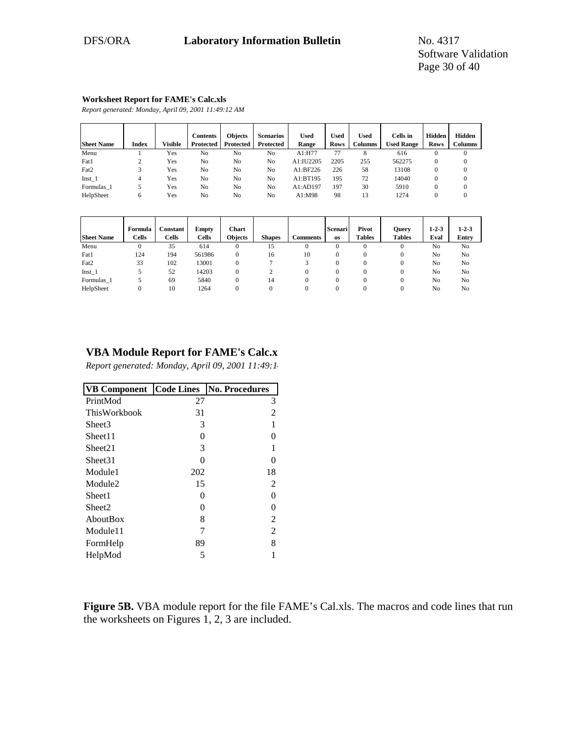#### **Worksheet Report for FAME's Calc.xls**

*Report generated: Monday, April 09, 2001 11:49:12 AM*

| <b>Sheet Name</b> | <b>Index</b> | Visible | <b>Contents</b><br>Protected | <b>Objects</b><br><b>Protected</b> | <b>Scenarios</b><br><b>Protected</b> | <b>Used</b><br>Range | Used<br><b>Rows</b> | <b>Used</b><br><b>Columns</b> | Cells in<br><b>Used Range</b> | Hidden<br><b>Rows</b> | Hidden<br><b>Columns</b> |
|-------------------|--------------|---------|------------------------------|------------------------------------|--------------------------------------|----------------------|---------------------|-------------------------------|-------------------------------|-----------------------|--------------------------|
| Menu              |              | Yes     | No                           | N <sub>0</sub>                     | No                                   | $A1:$ H77            | 77                  |                               | 616                           | 0                     |                          |
| Fat1              |              | Yes     | No                           | No                                 | No                                   | A1:IU2205            | 2205                | 255                           | 562275                        | $\mathbf{0}$          |                          |
| Fat2              |              | Yes     | No                           | No                                 | N <sub>0</sub>                       | A1:BF226             | 226                 | 58                            | 13108                         | $\mathbf{0}$          |                          |
| $Inst_1$          |              | Yes     | No                           | No                                 | No                                   | A1:BT195             | 195                 | 72                            | 14040                         | $\mathbf{0}$          |                          |
| Formulas 1        |              | Yes     | No                           | No                                 | No                                   | A1:AD197             | 197                 | 30                            | 5910                          | $\mathbf{0}$          |                          |
| HelpSheet         | 6            | Yes     | No                           | No                                 | No                                   | A1:M98               | 98                  | 13                            | 1274                          |                       |                          |

|                   | Formula      | <b>Constant</b> | Empty        | Chart          |               |                 | Scenari   | Pivot         | Query         | $1 - 2 - 3$ | $1 - 2 - 3$    |
|-------------------|--------------|-----------------|--------------|----------------|---------------|-----------------|-----------|---------------|---------------|-------------|----------------|
| <b>Sheet Name</b> | <b>Cells</b> | <b>Cells</b>    | <b>Cells</b> | <b>Objects</b> | <b>Shapes</b> | <b>Comments</b> | <b>OS</b> | <b>Tables</b> | <b>Tables</b> | Eval        | Entry          |
| Menu              | 0            | 35              | 614          |                | 15            | U               | 0         |               | $\mathbf{0}$  | No          | N <sub>0</sub> |
| Fat1              | 124          | 194             | 561986       |                | 16            | 10              |           |               | $\Omega$      | No          | No             |
| Fat2              | 33           | 102             | 13001        |                |               |                 |           |               | $\Omega$      | No          | No             |
| $Inst_1$          |              | 52              | 14203        |                |               |                 |           |               | $\Omega$      | No          | N <sub>0</sub> |
| Formulas 1        |              | 69              | 5840         |                | 14            |                 |           |               | $\Omega$      | No          | N <sub>0</sub> |
| HelpSheet         |              | 10              | 1264         |                |               |                 |           |               | $\Omega$      | No          | N <sub>0</sub> |

# **VBA Module Report for FAME's Calc.x**

*Report generated: Monday, April 09, 2001 11:49:14*

| <b>VB Component</b> | <b>Code Lines</b> | <b>No. Procedures</b> |
|---------------------|-------------------|-----------------------|
| PrintMod            | 27                | 3                     |
| <b>ThisWorkbook</b> | 31                | 2                     |
| Sheet3              | 3                 |                       |
| Sheet11             | $\mathbf{\Omega}$ |                       |
| Sheet21             | 3                 |                       |
| Sheet31             | 0                 | 0                     |
| Module1             | 202               | 18                    |
| Module <sub>2</sub> | 15                | 2                     |
| Sheet1              | 0                 | 0                     |
| Sheet2              | 0                 |                       |
| AboutBox            | 8                 | 2                     |
| Module11            |                   | 2                     |
| FormHelp            | 89                | 8                     |
| HelpMod             | 5                 |                       |

**Figure 5B.** VBA module report for the file FAME's Cal.xls. The macros and code lines that run the worksheets on Figures 1, 2, 3 are included.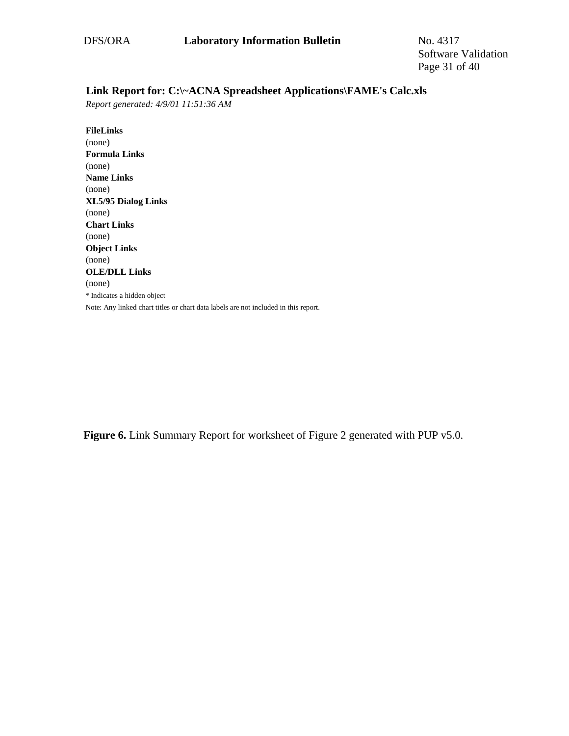# **Link Report for: C:\~ACNA Spreadsheet Applications\FAME's Calc.xls**

*Report generated: 4/9/01 11:51:36 AM*

**FileLinks** (none) **Formula Links** (none) **Name Links** (none) **XL5/95 Dialog Links** (none) **Chart Links** (none) **Object Links** (none) **OLE/DLL Links** (none) \* Indicates a hidden object Note: Any linked chart titles or chart data labels are not included in this report.

Figure 6. Link Summary Report for worksheet of Figure 2 generated with PUP v5.0.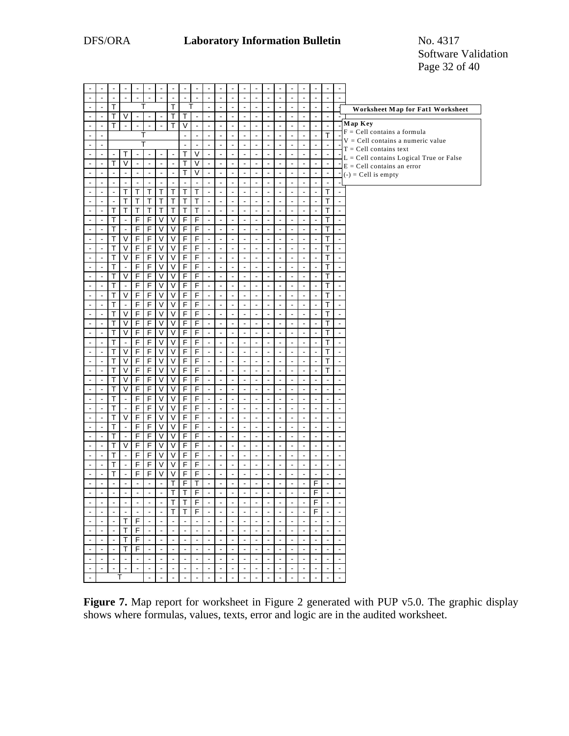|                                  |                          |                         |                          |                          |                          |                              |                                                    |                               |                          |                          |                                |                          |                                  | $\blacksquare$                             |                                  |                                            |                          |                                  |                          | $\blacksquare$                   | $\blacksquare$                            |
|----------------------------------|--------------------------|-------------------------|--------------------------|--------------------------|--------------------------|------------------------------|----------------------------------------------------|-------------------------------|--------------------------|--------------------------|--------------------------------|--------------------------|----------------------------------|--------------------------------------------|----------------------------------|--------------------------------------------|--------------------------|----------------------------------|--------------------------|----------------------------------|-------------------------------------------|
| Ĭ.                               | L,                       |                         |                          | $\overline{a}$           | $\overline{a}$           | ÷,                           | $\overline{a}$                                     | $\overline{a}$                | $\overline{a}$           | L.                       | $\overline{a}$                 | L                        | $\overline{a}$                   | $\overline{a}$                             | Ĭ.                               | $\overline{a}$                             | $\overline{a}$           | $\overline{a}$                   | ÷,                       | $\overline{a}$                   | $\overline{a}$                            |
| $\overline{a}$                   | $\overline{\phantom{a}}$ | T                       |                          |                          | т                        |                              | T                                                  |                               |                          | $\overline{a}$           | $\blacksquare$                 | $\overline{\phantom{a}}$ | $\overline{\phantom{a}}$         | $\Box$                                     | $\overline{a}$                   | $\Box$                                     | $\overline{a}$           | $\overline{a}$                   | $\ddot{\phantom{a}}$     | $\overline{\phantom{a}}$         | Worksheet Map for Fat1 Worksheet          |
| $\blacksquare$                   | $\blacksquare$           | T                       | $\vee$                   | $\overline{a}$           | $\overline{a}$           | $\blacksquare$               | T                                                  | T                             | $\overline{\phantom{a}}$ | $\overline{a}$           | $\overline{a}$                 | $\overline{a}$           | $\overline{\phantom{a}}$         | $\overline{a}$                             | $\overline{\phantom{a}}$         | ä,                                         | $\overline{\phantom{a}}$ | $\overline{a}$                   | $\blacksquare$           | ä,                               |                                           |
| $\blacksquare$                   | $\blacksquare$           | Т                       |                          | $\overline{\phantom{a}}$ | $\overline{a}$           | $\blacksquare$               | T                                                  | $\vee$                        | $\blacksquare$           |                          |                                | L                        | ÷,                               | $\overline{\phantom{a}}$                   | $\overline{\phantom{a}}$         | $\blacksquare$                             | ÷,                       | $\overline{a}$                   | ÷,                       | ÷,                               | Map Key                                   |
| $\overline{\phantom{a}}$         |                          |                         |                          | Т                        |                          |                              |                                                    | $\overline{\phantom{a}}$      | $\overline{\phantom{a}}$ | $\overline{\phantom{a}}$ | $\overline{a}$                 | $\blacksquare$           | $\blacksquare$                   | $\overline{\phantom{a}}$                   | $\overline{a}$                   | $\overline{\phantom{a}}$                   | $\overline{a}$           | $\overline{a}$                   | $\overline{a}$           | T                                | $F = Cell$ contains a formula             |
| $\overline{a}$                   | $\overline{\phantom{a}}$ |                         |                          |                          | T                        |                              |                                                    | L.                            | $\overline{a}$           | $\overline{a}$           | ä,                             | $\overline{a}$           | $\blacksquare$                   | $\overline{\phantom{a}}$                   | $\overline{a}$                   | $\overline{a}$                             | $\overline{a}$           | $\overline{a}$                   | $\overline{a}$           | $\overline{a}$                   | $V = Cell$ contains a numeric value       |
| $\blacksquare$                   | $\tilde{\phantom{a}}$    | $\blacksquare$          | T                        | $\blacksquare$           | $\ddot{\phantom{a}}$     | ÷,                           | $\blacksquare$                                     | T                             | $\vee$                   | $\overline{\phantom{a}}$ | $\overline{a}$                 | $\overline{a}$           | $\overline{a}$                   | $\overline{\phantom{a}}$                   | $\blacksquare$                   | $\Box$                                     | $\overline{a}$           | $\overline{a}$                   | $\overline{a}$           | $\blacksquare$                   | $T = Cell contains text$                  |
| $\blacksquare$                   | $\overline{\phantom{a}}$ | T                       | $\overline{\mathsf{v}}$  | $\Box$                   | $\ddot{\phantom{a}}$     | $\overline{a}$               | $\blacksquare$                                     | T                             | $\vee$                   | $\overline{\phantom{a}}$ | $\overline{\phantom{a}}$       | $\blacksquare$           | $\blacksquare$                   | $\blacksquare$                             | $\blacksquare$                   | $\blacksquare$                             | $\blacksquare$           | $\overline{a}$                   | $\blacksquare$           | $\blacksquare$                   | $L = Cell$ contains Logical True or False |
| $\overline{a}$                   | $\overline{a}$           | $\overline{a}$          | $\overline{a}$           | $\overline{a}$           | $\overline{\phantom{a}}$ | $\overline{a}$               | $\overline{\phantom{a}}$                           | T                             | $\overline{\vee}$        | $\overline{a}$           | $\overline{a}$                 | $\overline{a}$           | $\overline{a}$                   | $\overline{a}$                             | $\overline{a}$                   | $\overline{a}$                             | $\overline{a}$           | $\overline{a}$                   | $\overline{a}$           | $\blacksquare$                   | $E = Cell$ contains an error              |
|                                  |                          |                         |                          |                          |                          |                              |                                                    | $\Box$                        | $\Box$                   |                          |                                |                          |                                  |                                            |                                  |                                            |                          |                                  |                          | $\overline{\phantom{a}}$         | $(-) = Cell$ is empty                     |
|                                  | $\blacksquare$           | $\frac{1}{2}$           | $\blacksquare$<br>T      | $\Box$                   | $\Box$                   | $\blacksquare$               | $\Box$<br>Ŧ                                        |                               | T                        | $\blacksquare$           | $\Box$<br>÷,                   | $\overline{a}$           | $\blacksquare$<br>$\sim$         | $\Box$<br>$\overline{a}$                   | $\blacksquare$                   | $\Box$<br>$\blacksquare$                   | $\Box$<br>$\overline{a}$ | $\blacksquare$<br>$\overline{a}$ | $\blacksquare$           |                                  | $\overline{a}$                            |
| $\blacksquare$                   | $\overline{a}$           | ÷,                      |                          | T                        | T                        | T                            |                                                    | T                             |                          | ÷,                       |                                | ÷,                       |                                  |                                            | $\overline{\phantom{a}}$         |                                            |                          |                                  | $\blacksquare$           | T                                |                                           |
| $\overline{\phantom{a}}$         |                          |                         | $\overline{\mathsf{T}}$  | T                        | $\top$                   | T                            | $\overline{\mathsf{T}}$                            | $\overline{\mathsf{T}}$       | $\overline{\mathsf{T}}$  | ÷,                       | $\overline{a}$                 | $\overline{a}$           | $\blacksquare$                   | $\overline{\phantom{a}}$                   | $\blacksquare$                   | $\overline{\phantom{a}}$                   | $\overline{a}$           | $\overline{a}$                   | $\overline{a}$           | T                                |                                           |
| $\overline{a}$                   | $\overline{a}$           | Τ                       | $\overline{\mathsf{T}}$  | T                        | $\mathsf{T}$             | $\overline{\mathsf{T}}$      | Ŧ                                                  | T                             | $\overline{\mathsf{T}}$  | $\Box$                   | $\Box$                         | $\blacksquare$           | $\blacksquare$                   | $\blacksquare$                             | $\blacksquare$                   | $\Box$                                     | $\blacksquare$           | $\overline{a}$                   | $\overline{a}$           | T                                | ä,                                        |
| $\overline{\phantom{a}}$         | ÷.                       | T                       | $\overline{a}$           | F                        | $\mathsf F$              | V                            | V                                                  | $\overline{F}$                | $\overline{F}$           | $\blacksquare$           | $\blacksquare$                 | $\overline{\phantom{a}}$ | $\overline{a}$                   | $\overline{a}$                             | $\blacksquare$                   | $\overline{a}$                             | ä,                       | $\overline{a}$                   | $\ddot{\phantom{a}}$     | Т                                | ÷,                                        |
| $\overline{a}$                   |                          | $\overline{\mathsf{T}}$ | $\overline{a}$           | F                        | $\overline{F}$           | $\overline{\mathsf{V}}$      | $\overline{\mathsf{v}}$                            | F                             | $\overline{\mathsf{F}}$  | ÷,                       | $\overline{a}$                 | $\overline{a}$           | $\overline{a}$                   | $\overline{\phantom{a}}$                   | $\overline{a}$                   | ä,                                         | $\overline{a}$           | $\overline{a}$                   | $\overline{a}$           | $\overline{\mathsf{T}}$          | $\overline{a}$                            |
| $\overline{\phantom{a}}$         | $\overline{\phantom{a}}$ | T                       | V                        | F                        | $\mathsf F$              | $\overline{\vee}$            | V                                                  | F                             | $\mathsf F$              | $\blacksquare$           | $\Box$                         | $\overline{\phantom{a}}$ | $\overline{\phantom{a}}$         | $\overline{\phantom{a}}$                   | $\blacksquare$                   | $\overline{a}$                             | ä,                       | $\overline{a}$                   | $\blacksquare$           | T                                | ä,                                        |
| $\overline{\phantom{a}}$         | L,                       | т                       | $\vee$                   | F                        | $\mathsf F$              | $\sf V$                      | $\overline{\mathsf{V}}$                            | $\overline{F}$                | $\mathsf F$              | ÷,                       | $\overline{a}$                 | ÷,                       | $\blacksquare$                   | $\blacksquare$                             | $\overline{a}$                   | $\overline{a}$                             | $\overline{a}$           | $\overline{a}$                   | $\ddot{\phantom{a}}$     | Т                                | ÷.                                        |
| $\overline{a}$                   | $\overline{\phantom{a}}$ | T                       | $\overline{\mathsf{v}}$  | $\overline{F}$           | $\overline{F}$           | V                            | $\overline{\mathsf{V}}$                            | F                             | $\overline{\mathsf{F}}$  | $\overline{\phantom{a}}$ | $\overline{\phantom{a}}$       | $\overline{a}$           | $\overline{\phantom{a}}$         | $\blacksquare$                             | $\blacksquare$                   | $\Box$                                     | $\overline{a}$           | $\blacksquare$                   | $\ddot{\phantom{a}}$     | T                                | ÷,                                        |
| $\overline{a}$                   | ÷,                       | T                       | $\overline{a}$           | F                        | $\overline{F}$           | $\overline{\mathsf{v}}$      | $\overline{\mathsf{v}}$                            | $\overline{F}$                | $\overline{F}$           | $\overline{a}$           | $\overline{\phantom{a}}$       | $\overline{a}$           | $\overline{\phantom{a}}$         | $\overline{\phantom{a}}$                   | $\overline{\phantom{a}}$         | ä,                                         | $\overline{\phantom{a}}$ | $\overline{a}$                   | $\overline{a}$           | T                                | $\overline{\phantom{a}}$                  |
| $\overline{\phantom{a}}$         | L.                       | Т                       | V                        | F                        | $\mathsf F$              | V                            | $\overline{\mathsf{v}}$                            | $\mathsf F$                   | $\mathsf F$              | ÷,                       | $\overline{a}$                 | $\overline{a}$           | ÷,                               | $\blacksquare$                             | $\overline{\phantom{a}}$         | $\blacksquare$                             | $\overline{a}$           | $\overline{a}$                   | $\ddot{\phantom{a}}$     | T                                |                                           |
| $\overline{a}$                   | L.                       | T                       | $\overline{a}$           | $\overline{F}$           | $\overline{F}$           | $\overline{\mathsf{v}}$      | $\overline{\mathsf{v}}$                            | $\overline{F}$                | F                        | $\blacksquare$           | $\overline{\phantom{a}}$       | $\overline{a}$           | $\overline{\phantom{a}}$         | $\overline{\phantom{a}}$                   | $\overline{a}$                   | $\overline{\phantom{a}}$                   | ä,                       | $\overline{a}$                   | $\blacksquare$           | T                                | ÷,                                        |
| $\overline{a}$                   | $\overline{a}$           | T                       | V                        | F                        | $\overline{F}$           | V                            | $\overline{\mathsf{V}}$                            | $\overline{F}$                | $\overline{F}$           | $\ddot{\phantom{a}}$     | ä,                             | $\overline{a}$           | $\overline{\phantom{a}}$         | $\overline{a}$                             | $\overline{\phantom{a}}$         | ä,                                         | ä,                       | $\overline{a}$                   | $\overline{a}$           | T                                | $\overline{\phantom{a}}$                  |
| $\overline{a}$                   | $\blacksquare$           | T                       | $\overline{a}$           | F                        | $\overline{F}$           | $\vee$                       | $\overline{\mathsf{V}}$                            | $\overline{F}$                | $\overline{F}$           | $\overline{\phantom{a}}$ | $\overline{a}$                 | $\overline{a}$           | $\overline{a}$                   | $\overline{\phantom{a}}$                   | $\blacksquare$                   | $\overline{\phantom{a}}$                   | $\overline{a}$           | $\overline{a}$                   | $\blacksquare$           | T                                | $\overline{a}$                            |
| $\overline{\phantom{a}}$         | $\blacksquare$           | T                       | $\sf V$                  | F                        | $\mathsf F$              | $\vee$                       | $\overline{\mathsf{v}}$                            | $\overline{F}$                | $\overline{F}$           | $\blacksquare$           | $\overline{a}$                 | $\blacksquare$           | $\blacksquare$                   | $\blacksquare$                             | $\blacksquare$                   | $\overline{\phantom{a}}$                   | $\blacksquare$           | $\overline{a}$                   | $\blacksquare$           | T                                |                                           |
| $\overline{a}$                   | $\overline{a}$           | T                       | $\overline{\vee}$        | F                        | $\overline{F}$           | $\sf V$                      | $\overline{\mathsf{v}}$                            | $\overline{F}$                | $\overline{F}$           | $\overline{a}$           | $\overline{a}$                 | $\overline{a}$           | $\overline{a}$                   | $\overline{a}$                             | $\overline{a}$                   | $\overline{a}$                             | $\overline{a}$           | $\overline{a}$                   | $\overline{a}$           | T                                | L.                                        |
| $\overline{a}$                   | $\blacksquare$           | Т                       | $\sf V$                  | $\overline{F}$           | $\overline{F}$           | $\overline{\vee}$            | $\overline{\vee}$                                  | $\overline{F}$                | $\overline{F}$           | $\blacksquare$           | $\blacksquare$                 | $\blacksquare$           | $\blacksquare$                   | $\blacksquare$                             | $\blacksquare$                   | $\Box$                                     | $\blacksquare$           | $\overline{a}$                   | $\overline{\phantom{a}}$ | T                                | $\frac{1}{2}$                             |
| $\blacksquare$                   | $\blacksquare$           | T                       | $\blacksquare$           | F                        | $\overline{F}$           | V                            | $\overline{\mathsf{v}}$                            | $\overline{\mathsf{F}}$       | $\overline{\mathsf{F}}$  | $\blacksquare$           | $\overline{a}$                 | ÷,                       | $\overline{a}$                   | $\overline{\phantom{a}}$                   | $\blacksquare$                   | $\overline{\phantom{a}}$                   | $\Box$                   | $\overline{a}$                   | $\blacksquare$           | T                                | $\overline{a}$                            |
| $\blacksquare$                   | $\overline{\phantom{a}}$ | T                       | $\vee$                   | F                        | $\overline{F}$           | V                            | $\overline{\mathsf{V}}$                            | $\overline{F}$                | $\overline{F}$           | ÷,                       | $\overline{a}$                 | $\overline{a}$           | $\overline{a}$                   | $\overline{\phantom{a}}$                   | $\overline{a}$                   | $\blacksquare$                             | $\overline{a}$           | $\overline{a}$                   | $\overline{a}$           | T                                | ÷,                                        |
| $\overline{a}$                   | $\overline{\phantom{a}}$ | T                       | $\vee$                   | F                        | F                        | $\vee$                       | $\overline{\mathsf{v}}$                            | F                             | $\mathsf F$              | $\overline{\phantom{a}}$ | $\Box$                         | $\blacksquare$           | $\overline{\phantom{a}}$         | $\overline{\phantom{a}}$                   | $\overline{\phantom{a}}$         | $\Box$                                     | $\Box$                   | $\overline{a}$                   | $\overline{a}$           | T                                | ä,                                        |
| $\overline{a}$                   | $\blacksquare$           | Т                       | $\vee$                   | F                        | $\overline{F}$           | V                            | $\overline{\mathsf{V}}$                            | F                             | $\overline{F}$           | $\blacksquare$           | $\blacksquare$                 | $\overline{\phantom{a}}$ | $\blacksquare$                   | $\blacksquare$                             | $\blacksquare$                   | $\overline{\phantom{a}}$                   | ä,                       | $\overline{a}$                   | $\overline{\phantom{a}}$ | т                                | $\overline{\phantom{a}}$                  |
| $\overline{a}$                   |                          | T                       | $\overline{\vee}$        | F                        | $\overline{F}$           | $\vee$                       | $\overline{\mathsf{V}}$                            | $\overline{\mathsf{F}}$       | $\overline{\mathsf{F}}$  |                          | $\overline{a}$                 | $\overline{a}$           | $\overline{a}$                   | $\overline{\phantom{a}}$                   | $\overline{a}$                   | $\overline{\phantom{a}}$                   | $\overline{a}$           | $\overline{a}$                   | $\overline{a}$           |                                  | $\overline{a}$                            |
| $\overline{\phantom{a}}$         | $\overline{\phantom{a}}$ | T                       | V                        | F                        | $\mathsf F$              | $\overline{\vee}$            | $\overline{\mathsf{V}}$                            | F                             | $\mathsf F$              | $\blacksquare$           | $\Box$                         | ä,                       | $\blacksquare$                   | $\blacksquare$                             | $\Box$                           | $\overline{a}$                             | ä,                       | $\overline{a}$                   | $\blacksquare$           | $\blacksquare$                   | ä,                                        |
| $\overline{\phantom{a}}$         | L,                       | T                       | $\overline{a}$           | F                        | $\mathsf F$              | $\sf V$                      | $\overline{\mathsf{v}}$                            | $\overline{F}$                | F                        | $\blacksquare$           | ÷,                             | ÷,                       | $\overline{a}$                   | $\overline{\phantom{a}}$                   | $\overline{a}$                   | $\overline{\phantom{a}}$                   | $\overline{a}$           | $\overline{a}$                   | ÷,                       | ÷,                               | L.                                        |
| Ĭ.                               | Ĭ.                       | T                       | $\blacksquare$           | F                        | F                        | V                            | $\overline{\mathsf{V}}$                            | $\overline{F}$                | F                        | $\blacksquare$           | $\blacksquare$                 | ÷,                       | $\blacksquare$                   | $\blacksquare$                             | $\overline{\phantom{a}}$         | $\blacksquare$                             | $\blacksquare$           | $\blacksquare$                   | $\overline{\phantom{a}}$ | $\overline{\phantom{a}}$         | ÷,                                        |
| $\overline{a}$                   | $\blacksquare$           | T                       | $\overline{\mathsf{v}}$  | F                        | $\overline{F}$           | $\overline{\mathsf{v}}$      | $\overline{\mathsf{v}}$                            | $\overline{F}$                | $\overline{F}$           | $\overline{\phantom{a}}$ | $\overline{a}$                 | $\overline{a}$           | $\overline{\phantom{a}}$         | $\overline{a}$                             | $\overline{\phantom{a}}$         | ä,                                         | $\overline{\phantom{a}}$ | $\overline{a}$                   | $\overline{\phantom{a}}$ | $\blacksquare$                   | ÷.                                        |
|                                  |                          |                         |                          |                          |                          |                              |                                                    |                               |                          |                          |                                | L                        |                                  |                                            |                                  |                                            | ÷,                       |                                  |                          |                                  |                                           |
| $\blacksquare$<br>$\overline{a}$ | L.                       | Т<br>T                  | $\overline{a}$           | F<br>F                   | $\mathsf F$<br>F         | V<br>$\overline{\mathsf{v}}$ | $\overline{\mathsf{V}}$<br>$\overline{\mathsf{v}}$ | $\mathsf F$<br>$\overline{F}$ | $\mathsf F$<br>F         | $\blacksquare$<br>÷,     | $\overline{\phantom{a}}$<br>÷, |                          | $\blacksquare$<br>$\blacksquare$ | $\blacksquare$<br>$\overline{\phantom{a}}$ | $\blacksquare$<br>$\overline{a}$ | $\blacksquare$<br>$\overline{\phantom{a}}$ | ä,                       | $\overline{a}$<br>$\overline{a}$ | $\ddot{\phantom{a}}$     | $\blacksquare$<br>$\overline{a}$ | $\overline{a}$                            |
|                                  |                          |                         | $\blacksquare$           |                          |                          |                              |                                                    |                               |                          |                          |                                | $\overline{a}$           |                                  |                                            |                                  |                                            |                          |                                  | $\ddot{\phantom{a}}$     |                                  |                                           |
| $\overline{a}$                   | $\overline{\phantom{a}}$ | T                       | $\overline{\mathsf{V}}$  | F                        | $\overline{F}$           | V                            | $\overline{\mathsf{V}}$                            | F                             | $\overline{F}$           | $\overline{\phantom{a}}$ | $\overline{\phantom{a}}$       | $\overline{\phantom{a}}$ | $\overline{\phantom{a}}$         | $\overline{\phantom{a}}$                   | $\blacksquare$                   | $\overline{a}$                             | $\overline{a}$           | $\overline{a}$                   | $\overline{a}$           | $\blacksquare$                   | L,                                        |
| $\blacksquare$                   | $\blacksquare$           | T                       | $\overline{a}$           | F                        | $\overline{F}$           | $\overline{\mathsf{V}}$      | $\overline{\mathsf{V}}$                            | $\overline{F}$                | $\overline{\mathsf{F}}$  | $\overline{\phantom{a}}$ | $\blacksquare$                 | ÷,                       | $\overline{a}$                   | $\overline{\phantom{a}}$                   | $\blacksquare$                   | $\Box$                                     | $\overline{a}$           | $\overline{a}$                   | $\overline{a}$           | ÷,                               | ÷.                                        |
|                                  | $\blacksquare$           | T                       | $\blacksquare$           | F                        | $\mathsf F$              | V                            | V                                                  | F                             | $\mathsf F$              | $\blacksquare$           | $\overline{\phantom{a}}$       | $\frac{1}{2}$            | $\blacksquare$                   | $\blacksquare$                             | $\overline{\phantom{a}}$         | $\blacksquare$                             | $\blacksquare$           | $\overline{a}$                   | $\blacksquare$           | $\overline{a}$                   |                                           |
|                                  | L,                       | T                       | $\overline{a}$           | F                        | $\overline{F}$           | V                            | $\overline{\mathsf{v}}$                            | F                             | F                        | $\overline{a}$           | $\overline{a}$                 | $\overline{a}$           | $\overline{a}$                   | $\overline{a}$                             | $\overline{a}$                   | $\overline{a}$                             | $\overline{a}$           | $\overline{a}$                   | $\overline{a}$           | $\overline{a}$                   | L.                                        |
|                                  | ÷,                       | $\blacksquare$          | $\blacksquare$           | $\blacksquare$           | $\blacksquare$           | $\blacksquare$               | Т                                                  | F                             | Т                        | $\blacksquare$           | $\blacksquare$                 | -                        | $\blacksquare$                   | $\blacksquare$                             | $\blacksquare$                   | $\blacksquare$                             | $\blacksquare$           | $\blacksquare$                   | F                        | $\blacksquare$                   | $\frac{1}{2}$                             |
| $\blacksquare$                   | $\sim$                   | $\blacksquare$          | $\overline{\phantom{a}}$ | $\overline{a}$           | $\overline{\phantom{a}}$ | $\overline{\phantom{a}}$     | T                                                  | T                             | $\overline{\mathsf{F}}$  | $\blacksquare$           | $\overline{a}$                 | $\overline{\phantom{a}}$ | $\overline{a}$                   | $\overline{\phantom{a}}$                   | $\blacksquare$                   | $\overline{a}$                             | $\Box$                   | $\overline{a}$                   | $\overline{F}$           | ÷,                               | $\overline{\phantom{a}}$                  |
|                                  |                          |                         |                          |                          |                          |                              | $\overline{\mathsf{T}}$                            | $\overline{\top}$             | $\overline{\mathsf{F}}$  |                          |                                |                          |                                  |                                            |                                  |                                            |                          |                                  | $\overline{\mathsf{F}}$  |                                  |                                           |
| $\blacksquare$                   |                          | $\blacksquare$          | $\blacksquare$           | $\blacksquare$           | $\blacksquare$           | $\blacksquare$               | Т                                                  | Т                             | $\mathsf F$              | $\blacksquare$           | $\blacksquare$                 | $\overline{\phantom{a}}$ | $\blacksquare$                   | $\Box$                                     | $\blacksquare$                   | $\blacksquare$                             | $\blacksquare$           | $\overline{a}$                   | F                        |                                  | $\blacksquare$                            |
|                                  |                          | $\blacksquare$          | т                        | F                        |                          |                              | $\blacksquare$                                     | $\blacksquare$                | $\overline{\phantom{a}}$ |                          | $\blacksquare$                 | $\blacksquare$           | $\blacksquare$                   | $\blacksquare$                             |                                  | $\blacksquare$                             | $\blacksquare$           | $\blacksquare$                   |                          |                                  | $\overline{\phantom{a}}$                  |
| $\blacksquare$                   |                          |                         | T                        | F                        | $\sim$                   | $\blacksquare$               | $\overline{\phantom{a}}$                           | $\blacksquare$                | $\blacksquare$           | ÷.                       | $\blacksquare$                 | ÷.                       | $\blacksquare$                   | $\blacksquare$                             | $\sim$                           | $\overline{\phantom{a}}$                   | $\overline{a}$           | $\overline{a}$                   | ÷.                       | ÷.                               | $\overline{a}$                            |
| $\Box$                           | $\blacksquare$           | $\blacksquare$          | т                        | F                        | $\blacksquare$           | $\blacksquare$               | $\blacksquare$                                     | $\omega$                      | $\Box$                   | $\overline{\phantom{a}}$ | $\blacksquare$                 | $\blacksquare$           | $\blacksquare$                   | $\blacksquare$                             | $\blacksquare$                   | $\blacksquare$                             | $\blacksquare$           | $\overline{a}$                   | $\overline{\phantom{a}}$ | $\blacksquare$                   | ä,                                        |
| $\blacksquare$                   |                          | $\blacksquare$          | T                        | F                        | $\blacksquare$           | $\overline{a}$               | $\overline{a}$                                     | $\blacksquare$                | $\overline{a}$           |                          | ÷,                             | $\overline{a}$           | $\blacksquare$                   | $\sim$                                     |                                  | $\tilde{\phantom{a}}$                      | ÷,                       | $\overline{a}$                   |                          | $\overline{a}$                   | ÷,                                        |
| $\blacksquare$                   |                          | $\blacksquare$          | $\blacksquare$           | $\blacksquare$           | $\blacksquare$           | $\blacksquare$               | $\overline{\phantom{a}}$                           | $\blacksquare$                | $\blacksquare$           |                          | $\blacksquare$                 | $\overline{\phantom{0}}$ | $\blacksquare$                   | $\blacksquare$                             | $\blacksquare$                   | $\overline{\phantom{a}}$                   | $\blacksquare$           | $\blacksquare$                   |                          |                                  | $\blacksquare$                            |
| $\Box$                           | $\blacksquare$           | ä,                      | $\Box$                   | $\overline{\phantom{a}}$ | $\overline{\phantom{a}}$ | $\blacksquare$               | $\blacksquare$                                     | $\overline{a}$                | $\overline{a}$           | $\blacksquare$           | $\overline{a}$                 | $\blacksquare$           | $\overline{\phantom{a}}$         | $\overline{\phantom{a}}$                   | $\blacksquare$                   | $\blacksquare$                             | ä,                       | $\overline{a}$                   | $\blacksquare$           | $\blacksquare$                   | ÷.                                        |
|                                  |                          | Τ                       |                          |                          | $\overline{\phantom{a}}$ | $\qquad \qquad \blacksquare$ | $\overline{\phantom{a}}$                           | $\blacksquare$                | $\overline{\phantom{a}}$ |                          |                                |                          |                                  | $\overline{\phantom{a}}$                   |                                  | $\blacksquare$                             |                          |                                  |                          |                                  | $\qquad \qquad \blacksquare$              |
|                                  |                          |                         |                          |                          |                          |                              |                                                    |                               |                          |                          |                                |                          |                                  |                                            |                                  |                                            |                          |                                  |                          |                                  |                                           |

Figure 7. Map report for worksheet in Figure 2 generated with PUP v5.0. The graphic display shows where formulas, values, texts, error and logic are in the audited worksheet.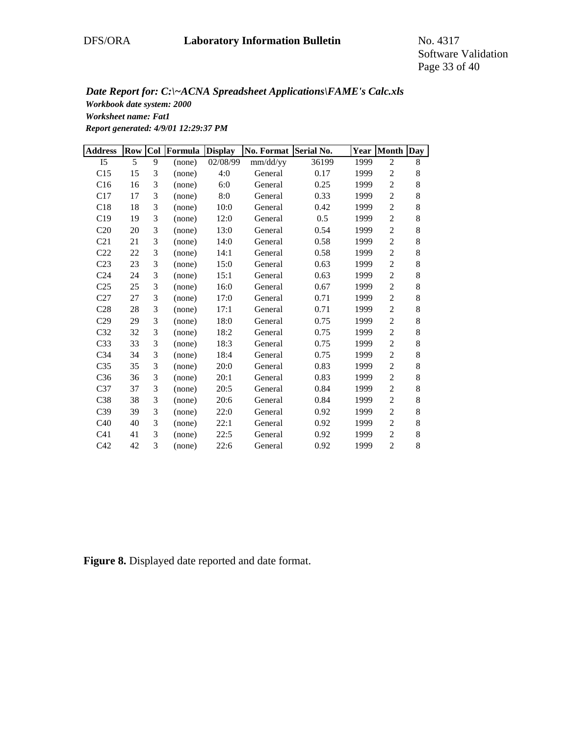Software Validation Page 33 of 40

*Workbook date system: 2000 Worksheet name: Fat1 Report generated: 4/9/01 12:29:37 PM Date Report for: C:\~ACNA Spreadsheet Applications\FAME's Calc.xls*

| <b>Address</b>  | Row    | Col | Formula | <b>Display</b> | No. Format Serial No. |       | Year | Month Day      |       |
|-----------------|--------|-----|---------|----------------|-----------------------|-------|------|----------------|-------|
| I <sub>5</sub>  | 5      | 9   | (none)  | 02/08/99       | mm/dd/yy              | 36199 | 1999 | $\overline{c}$ | 8     |
| C15             | 15     | 3   | (none)  | 4:0            | General               | 0.17  | 1999 | $\overline{c}$ | 8     |
| C16             | 16     | 3   | (none)  | 6:0            | General               | 0.25  | 1999 | $\overline{2}$ | $8\,$ |
| C17             | 17     | 3   | (none)  | 8:0            | General               | 0.33  | 1999 | $\overline{c}$ | 8     |
| C18             | 18     | 3   | (none)  | 10:0           | General               | 0.42  | 1999 | $\overline{c}$ | $8\,$ |
| C19             | 19     | 3   | (none)  | 12:0           | General               | 0.5   | 1999 | $\overline{c}$ | 8     |
| C20             | $20\,$ | 3   | (none)  | 13:0           | General               | 0.54  | 1999 | $\overline{c}$ | 8     |
| C21             | 21     | 3   | (none)  | 14:0           | General               | 0.58  | 1999 | $\overline{c}$ | $8\,$ |
| C22             | 22     | 3   | (none)  | 14:1           | General               | 0.58  | 1999 | $\overline{c}$ | 8     |
| C <sub>23</sub> | 23     | 3   | (none)  | 15:0           | General               | 0.63  | 1999 | $\overline{2}$ | 8     |
| C <sub>24</sub> | 24     | 3   | (none)  | 15:1           | General               | 0.63  | 1999 | $\overline{c}$ | 8     |
| C <sub>25</sub> | 25     | 3   | (none)  | 16:0           | General               | 0.67  | 1999 | $\overline{c}$ | 8     |
| C27             | 27     | 3   | (none)  | 17:0           | General               | 0.71  | 1999 | $\overline{c}$ | 8     |
| C28             | 28     | 3   | (none)  | 17:1           | General               | 0.71  | 1999 | $\overline{c}$ | $8\,$ |
| C29             | 29     | 3   | (none)  | 18:0           | General               | 0.75  | 1999 | $\overline{c}$ | 8     |
| C32             | 32     | 3   | (none)  | 18:2           | General               | 0.75  | 1999 | $\overline{c}$ | 8     |
| C33             | 33     | 3   | (none)  | 18:3           | General               | 0.75  | 1999 | $\overline{2}$ | 8     |
| C <sub>34</sub> | 34     | 3   | (none)  | 18:4           | General               | 0.75  | 1999 | $\overline{c}$ | 8     |
| C <sub>35</sub> | 35     | 3   | (none)  | 20:0           | General               | 0.83  | 1999 | $\overline{c}$ | $8\,$ |
| C36             | 36     | 3   | (none)  | 20:1           | General               | 0.83  | 1999 | $\overline{c}$ | 8     |
| C37             | 37     | 3   | (none)  | 20:5           | General               | 0.84  | 1999 | $\overline{c}$ | 8     |
| C38             | 38     | 3   | (none)  | 20:6           | General               | 0.84  | 1999 | $\overline{c}$ | $8\,$ |
| C <sub>39</sub> | 39     | 3   | (none)  | 22:0           | General               | 0.92  | 1999 | 2              | 8     |
| C40             | 40     | 3   | (none)  | 22:1           | General               | 0.92  | 1999 | $\sqrt{2}$     | $8\,$ |
| C <sub>41</sub> | 41     | 3   | (none)  | 22:5           | General               | 0.92  | 1999 | $\overline{2}$ | 8     |
| C42             | 42     | 3   | (none)  | 22:6           | General               | 0.92  | 1999 | $\overline{c}$ | 8     |

**Figure 8.** Displayed date reported and date format.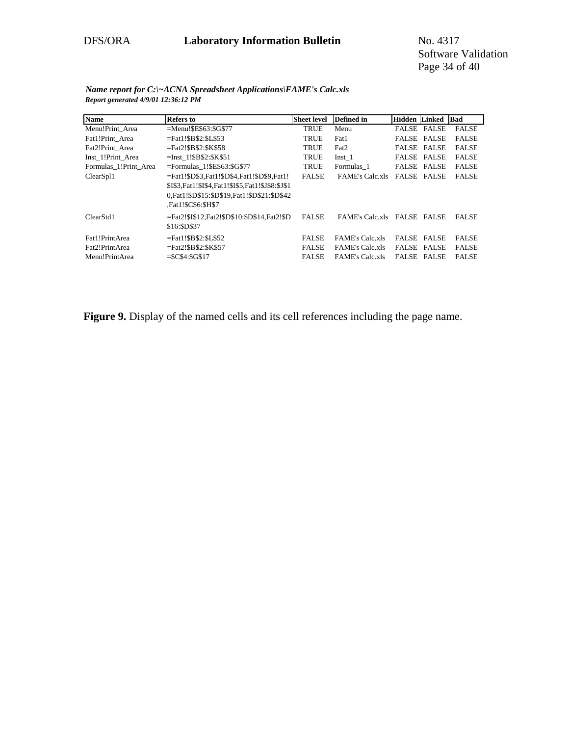Software Validation Page 34 of 40

| Name                  | <b>Refers to</b>                                     | <b>Sheet level</b> | <b>Defined</b> in      | <b>Hidden Linked</b> |              | Bad          |
|-----------------------|------------------------------------------------------|--------------------|------------------------|----------------------|--------------|--------------|
| Menu!Print Area       | $=$ Menu!\$E\$63:\$G\$77                             | <b>TRUE</b>        | Menu                   | <b>FALSE FALSE</b>   |              | <b>FALSE</b> |
| Fat1!Print Area       | $=$ Fat1!\$B\$2:\$L\$53                              | <b>TRUE</b>        | Fat1                   | <b>FALSE FALSE</b>   |              | <b>FALSE</b> |
| Fat2!Print Area       | $=$ Fat2!\$B\$2:\$K\$58                              | <b>TRUE</b>        | Fat2                   | <b>FALSE FALSE</b>   |              | <b>FALSE</b> |
| Inst 1!Print Area     | $=$ Inst 1!\$B\$2:\$K\$51                            | <b>TRUE</b>        | Inst <sub>1</sub>      | <b>FALSE FALSE</b>   |              | <b>FALSE</b> |
| Formulas 1!Print Area | $=$ Formulas 1!\$E\$63:\$G\$77                       | <b>TRUE</b>        | Formulas 1             | <b>FALSE FALSE</b>   |              | <b>FALSE</b> |
| ClearSpl1             | =Fat1!\$D\$3.Fat1!\$D\$4.Fat1!\$D\$9.Fat1!           | <b>FALSE</b>       | <b>FAME's Calc xls</b> | <b>FALSE FALSE</b>   |              | <b>FALSE</b> |
|                       | \$I\$3, Fat1!\$I\$4, Fat1!\$I\$5, Fat1!\$J\$8:\$J\$1 |                    |                        |                      |              |              |
|                       | 0.Fat1!\$D\$15:\$D\$19.Fat1!\$D\$21:\$D\$42          |                    |                        |                      |              |              |
|                       | Fat1!\$C\$6:\$H\$7.                                  |                    |                        |                      |              |              |
| ClearStd1             | =Fat2!\$I\$12,Fat2!\$D\$10:\$D\$14,Fat2!\$D          | <b>FALSE</b>       | <b>FAME's Calc.xls</b> | FALSE FALSE          |              | <b>FALSE</b> |
|                       | \$16:\$D\$37                                         |                    |                        |                      |              |              |
| Fat1!PrintArea        | $=$ Fat1!\$B\$2:\$L\$52                              | <b>FALSE</b>       | <b>FAME's Calc.xls</b> | <b>FALSE</b>         | <b>FALSE</b> | <b>FALSE</b> |
| Fat2!PrintArea        | $=$ Fat2!\$B\$2:\$K\$57                              | <b>FALSE</b>       | <b>FAME's Calc.xls</b> | <b>FALSE FALSE</b>   |              | <b>FALSE</b> |
| Menu!PrintArea        | $=$ \$C\$4:\$G\$17                                   | <b>FALSE</b>       | <b>FAME's Calc xls</b> | FALSE                | <b>FALSE</b> | <b>FALSE</b> |

*Name report for C:\~ACNA Spreadsheet Applications\FAME's Calc.xls Report generated 4/9/01 12:36:12 PM*

Figure 9. Display of the named cells and its cell references including the page name.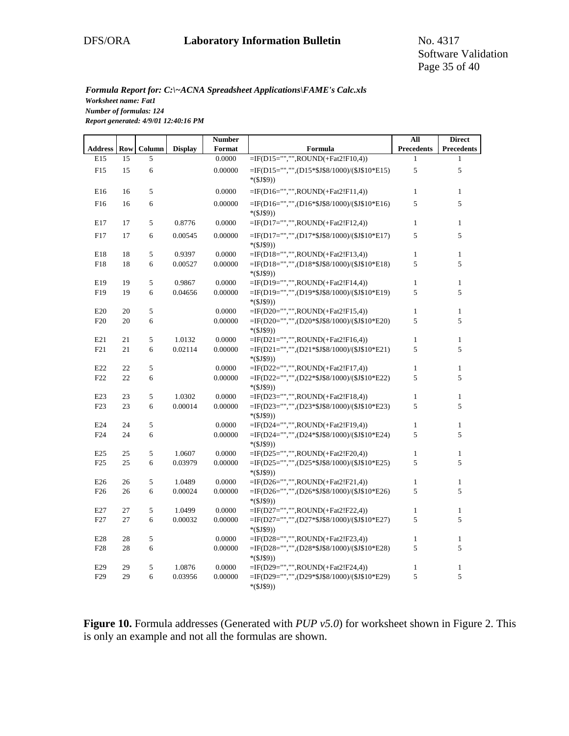Software Validation Page 35 of 40

#### *Formula Report for: C:\~ACNA Spreadsheet Applications\FAME's Calc.xls Worksheet name: Fat1 Number of formulas: 124*

*Report generated: 4/9/01 12:40:16 PM*

|                 |          |            |                | <b>Number</b> |                                                                                       | All               | <b>Direct</b>     |
|-----------------|----------|------------|----------------|---------------|---------------------------------------------------------------------------------------|-------------------|-------------------|
| <b>Address</b>  | Row      | Column     | <b>Display</b> | Format        | Formula                                                                               | <b>Precedents</b> | <b>Precedents</b> |
| E15             | 15       | 5          |                | 0.0000        | =IF(D15="","",ROUND(+Fat2!F10,4))                                                     | $\mathbf{1}$      | 1                 |
| F15             | 15       | 6          |                | 0.00000       | =IF(D15="","",(D15*\$J\$8/1000)/(\$J\$10*E15)                                         | 5                 | 5                 |
|                 |          |            |                |               | $*($J$9))$                                                                            |                   |                   |
| E16             | 16       | 5          |                | 0.0000        | $=$ IF(D16="","",ROUND(+Fat2!F11,4))                                                  | $\mathbf{1}$      | $\mathbf{1}$      |
| F16             | 16       | 6          |                | 0.00000       | $=$ IF(D16="","",(D16*\$J\$8/1000)/(\$J\$10*E16)                                      | 5                 | 5                 |
|                 |          |            |                |               | $*($J$9))$                                                                            |                   |                   |
| E17             | 17       | 5          | 0.8776         | 0.0000        | $=$ IF(D17="","",ROUND(+Fat2!F12,4))                                                  | $\mathbf{1}$      | $\mathbf{1}$      |
| F17             | 17       | 6          | 0.00545        | 0.00000       | $=$ IF(D17="","",(D17*\$J\$8/1000)/(\$J\$10*E17)                                      | 5                 | 5                 |
|                 |          |            |                |               | $*($J$9))$                                                                            |                   |                   |
| E18             | 18       | 5          | 0.9397         | 0.0000        | =IF(D18="","",ROUND(+Fat2!F13,4))                                                     | $\mathbf{1}$      | $\mathbf{1}$      |
| F18             | 18       | 6          | 0.00527        | 0.00000       | =IF(D18="","",(D18*\$J\$8/1000)/(\$J\$10*E18)                                         | 5                 | 5                 |
|                 |          |            |                |               | $*(\$J\$9))$                                                                          |                   |                   |
| E19             | 19       | 5          | 0.9867         | 0.0000        | =IF(D19="","",ROUND(+Fat2!F14,4))                                                     | $\mathbf{1}$      | $\mathbf{1}$      |
| F19             | 19       | 6          | 0.04656        | 0.00000       | =IF(D19="","",(D19*\$J\$8/1000)/(\$J\$10*E19)                                         | 5                 | 5                 |
|                 |          |            |                |               | $*(\$J\$9))$                                                                          |                   |                   |
| E20             | 20       | 5          |                | $0.0000\,$    | $=$ IF(D20="","",ROUND(+Fat2!F15,4))                                                  | $\mathbf{1}$      | $\,1$             |
| F20             | 20       | 6          |                | 0.00000       | =IF(D20="","",(D20*\$J\$8/1000)/(\$J\$10*E20)                                         | 5                 | 5                 |
|                 |          |            |                |               | $*($J$9))$                                                                            |                   |                   |
| E21             | 21<br>21 | 5<br>6     | 1.0132         | 0.0000        | =IF(D21="","",ROUND(+Fat2!F16,4))<br>$=$ IF(D21="","",(D21*\$J\$8/1000)/(\$J\$10*E21) | $\mathbf{1}$<br>5 | $\mathbf{1}$<br>5 |
| F21             |          |            | 0.02114        | 0.00000       | $*($J$9))$                                                                            |                   |                   |
| E22             | 22       | 5          |                | 0.0000        | $=$ IF(D22="","",ROUND(+Fat2!F17,4))                                                  | $\mathbf{1}$      | $\mathbf{1}$      |
| F <sub>22</sub> | 22       | 6          |                | 0.00000       | =IF(D22="","",(D22*\$J\$8/1000)/(\$J\$10*E22)                                         | 5                 | 5                 |
|                 |          |            |                |               | $*($J$9))$                                                                            |                   |                   |
| E23             | 23       | 5          | 1.0302         | 0.0000        | $=$ IF(D23="","",ROUND(+Fat2!F18,4))                                                  | $\mathbf{1}$      | $\mathbf{1}$      |
| F <sub>23</sub> | 23       | 6          | 0.00014        | 0.00000       | =IF(D23="","",(D23*\$J\$8/1000)/(\$J\$10*E23)                                         | 5                 | 5                 |
|                 |          |            |                |               | $*(\$J\$9))$                                                                          |                   |                   |
| E24             | 24       | 5          |                | 0.0000        | =IF(D24="","",ROUND(+Fat2!F19,4))                                                     | $\mathbf{1}$      | 1                 |
| F <sub>24</sub> | 24       | 6          |                | 0.00000       | =IF(D24="","",(D24*\$J\$8/1000)/(\$J\$10*E24)                                         | 5                 | 5                 |
|                 |          |            |                |               | $*($J$9))$                                                                            |                   |                   |
| E25             | 25       | 5          | 1.0607         | 0.0000        | $=$ IF(D25="","",ROUND(+Fat2!F20,4))                                                  | $\mathbf{1}$      | $\mathbf{1}$      |
| F25             | 25       | 6          | 0.03979        | 0.00000       | =IF(D25="","",(D25*\$J\$8/1000)/(\$J\$10*E25)                                         | 5                 | 5                 |
|                 |          |            |                |               | $*($J$9))$                                                                            |                   |                   |
| E26             | 26       | 5          | 1.0489         | 0.0000        | =IF(D26="","",ROUND(+Fat2!F21,4))                                                     | $\mathbf{1}$      | $\,1$             |
| F <sub>26</sub> | 26       | 6          | 0.00024        | 0.00000       | =IF(D26="","",(D26*\$J\$8/1000)/(\$J\$10*E26)                                         | 5                 | 5                 |
| E27             | 27       | 5          | 1.0499         | 0.0000        | $*($J$9))$<br>$=$ IF(D27="","",ROUND(+Fat2!F22,4))                                    | $\mathbf{1}$      | $\mathbf{1}$      |
| F27             | 27       | 6          | 0.00032        | 0.00000       | =IF(D27="","",(D27*\$J\$8/1000)/(\$J\$10*E27)                                         | 5                 | 5                 |
|                 |          |            |                |               | $*($J$9))$                                                                            |                   |                   |
| E28             | 28       | $\sqrt{5}$ |                | 0.0000        | $=$ IF(D28="","",ROUND(+Fat2!F23,4))                                                  | $\mathbf{1}$      | $\mathbf{1}$      |
| F <sub>28</sub> | 28       | 6          |                | 0.00000       | =IF(D28="","",(D28*\$J\$8/1000)/(\$J\$10*E28)                                         | 5                 | 5                 |
|                 |          |            |                |               | $*($J$9))$                                                                            |                   |                   |
| E29             | 29       | 5          | 1.0876         | 0.0000        | =IF(D29="","",ROUND(+Fat2!F24,4))                                                     | $\mathbf{1}$      | $\mathbf{1}$      |
| F <sub>29</sub> | 29       | 6          | 0.03956        | 0.00000       | =IF(D29="","",(D29*\$J\$8/1000)/(\$J\$10*E29)                                         | 5                 | 5                 |
|                 |          |            |                |               | $*($J$9))$                                                                            |                   |                   |

**Figure 10.** Formula addresses (Generated with *PUP v5.0*) for worksheet shown in Figure 2. This is only an example and not all the formulas are shown.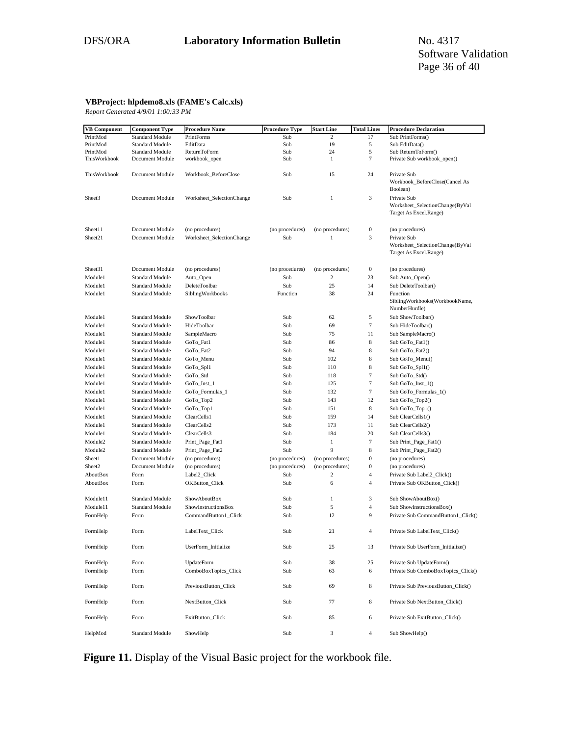#### **VBProject: hlpdemo8.xls (FAME's Calc.xls)**

*Report Generated 4/9/01 1:00:33 PM*

| <b>VB</b> Component | <b>Component Type</b>  | <b>Procedure Name</b>     | <b>Procedure Type</b> | <b>Start Line</b> | <b>Total Lines</b> | <b>Procedure Declaration</b>                                             |
|---------------------|------------------------|---------------------------|-----------------------|-------------------|--------------------|--------------------------------------------------------------------------|
| PrintMod            | <b>Standard Module</b> | PrintForms                | Sub                   | 2                 | 17                 | Sub PrintForms()                                                         |
| PrintMod            | Standard Module        | EditData                  | Sub                   | 19                | 5                  | Sub EditData()                                                           |
| PrintMod            | <b>Standard Module</b> | ReturnToForm              | Sub                   | 24                | 5                  | Sub ReturnToForm()                                                       |
| ThisWorkbook        | Document Module        | workbook_open             | Sub                   | 1                 | 7                  | Private Sub workbook_open()                                              |
| ThisWorkbook        | Document Module        | Workbook_BeforeClose      | Sub                   | 15                | 24                 | Private Sub<br>Workbook_BeforeClose(Cancel As<br>Boolean)                |
| Sheet3              | Document Module        | Worksheet_SelectionChange | Sub                   | 1                 | 3                  | Private Sub<br>Worksheet_SelectionChange(ByVal<br>Target As Excel.Range) |
| Sheet11             | Document Module        | (no procedures)           | (no procedures)       | (no procedures)   | $\boldsymbol{0}$   | (no procedures)                                                          |
| Sheet21             | Document Module        | Worksheet_SelectionChange | Sub                   | 1                 | 3                  | Private Sub<br>Worksheet_SelectionChange(ByVal<br>Target As Excel.Range) |
| Sheet31             | Document Module        | (no procedures)           | (no procedures)       | (no procedures)   | $\boldsymbol{0}$   | (no procedures)                                                          |
| Module1             | <b>Standard Module</b> | Auto_Open                 | Sub                   | 2                 | 23                 | Sub Auto_Open()                                                          |
| Module1             | <b>Standard Module</b> | DeleteToolbar             | Sub                   | 25                | 14                 | Sub DeleteToolbar()                                                      |
| Module1             | <b>Standard Module</b> | SiblingWorkbooks          | Function              | 38                | 24                 | Function<br>SiblingWorkbooks(WorkbookName,<br>NumberHurdle)              |
| Module1             | Standard Module        | ShowToolbar               | Sub                   | 62                | 5                  | Sub ShowToolbar()                                                        |
| Module1             | <b>Standard Module</b> | HideToolbar               | Sub                   | 69                | $\tau$             | Sub HideToolbar()                                                        |
| Module1             | <b>Standard Module</b> | SampleMacro               | Sub                   | 75                | 11                 | Sub SampleMacro()                                                        |
| Module1             | Standard Module        | GoTo_Fat1                 | Sub                   | 86                | $\bf 8$            | Sub GoTo_Fat1()                                                          |
| Module1             | Standard Module        | GoTo_Fat2                 | Sub                   | 94                | $\bf 8$            | Sub GoTo Fat2()                                                          |
| Module1             | <b>Standard Module</b> | GoTo_Menu                 | Sub                   | 102               | 8                  | Sub GoTo_Menu()                                                          |
| Module1             | Standard Module        | GoTo_Spl1                 | Sub                   | 110               | $\bf 8$            | Sub GoTo_Spl1()                                                          |
| Module1             | Standard Module        | GoTo_Std                  | Sub                   | 118               | 7                  | Sub GoTo_Std()                                                           |
| Module1             | Standard Module        | GoTo_Inst_1               | Sub                   | 125               | $\overline{7}$     | Sub GoTo_Inst_1()                                                        |
| Module1             | Standard Module        | GoTo_Formulas_1           | Sub                   | 132               | 7                  | Sub GoTo_Formulas_1()                                                    |
| Module1             | <b>Standard Module</b> | GoTo_Top2                 | Sub                   | 143               | 12                 | Sub GoTo_Top2()                                                          |
| Module1             | <b>Standard Module</b> | GoTo_Top1                 | Sub                   | 151               | 8                  | Sub GoTo_Top1()                                                          |
| Module1             | <b>Standard Module</b> | ClearCells1               | Sub                   | 159               | 14                 | Sub ClearCells1()                                                        |
| Module1             | <b>Standard Module</b> | ClearCells2               | Sub                   | 173               | 11                 | Sub ClearCells2()                                                        |
| Module1             | Standard Module        | ClearCells3               | Sub                   | 184               | 20                 | Sub ClearCells3()                                                        |
| Module <sub>2</sub> | Standard Module        | Print_Page_Fat1           | Sub                   | $\mathbf{1}$      | $\overline{7}$     | Sub Print_Page_Fat1()                                                    |
| Module <sub>2</sub> | <b>Standard Module</b> | Print_Page_Fat2           | Sub                   | 9                 | $\bf 8$            | Sub Print_Page_Fat2()                                                    |
| Sheet1              | Document Module        | (no procedures)           | (no procedures)       | (no procedures)   | $\boldsymbol{0}$   | (no procedures)                                                          |
| Sheet <sub>2</sub>  | Document Module        | (no procedures)           | (no procedures)       | (no procedures)   | $\boldsymbol{0}$   | (no procedures)                                                          |
| AboutBox            | Form                   | Label2_Click              | Sub                   | 2                 | 4                  | Private Sub Label2_Click()                                               |
| AboutBox            | Form                   | OKButton_Click            | Sub                   | 6                 | 4                  | Private Sub OKButton_Click()                                             |
| Module11            | <b>Standard Module</b> | ShowAboutBox              | Sub                   | $\mathbf{1}$      | 3                  | Sub ShowAboutBox()                                                       |
| Module11            | Standard Module        | ShowInstructionsBox       | Sub                   | 5                 | $\overline{4}$     | Sub ShowInstructionsBox()                                                |
| FormHelp            | Form                   | CommandButton1_Click      | Sub                   | 12                | 9                  | Private Sub CommandButton1_Click()                                       |
| FormHelp            | Form                   | LabelText_Click           | Sub                   | 21                | 4                  | Private Sub LabelText_Click()                                            |
| FormHelp            | Form                   | UserForm_Initialize       | Sub                   | 25                | 13                 | Private Sub UserForm_Initialize()                                        |
| FormHelp            | Form                   | UpdateForm                | Sub                   | 38                | 25                 | Private Sub UpdateForm()                                                 |
| FormHelp            | Form                   | ComboBoxTopics_Click      | Sub                   | 63                | 6                  | Private Sub ComboBoxTopics_Click()                                       |
|                     |                        |                           |                       |                   |                    |                                                                          |
| FormHelp            | Form                   | PreviousButton_Click      | Sub                   | 69                | 8                  | Private Sub PreviousButton_Click()                                       |
| FormHelp            | Form                   | NextButton_Click          | Sub                   | 77                | 8                  | Private Sub NextButton_Click()                                           |
| FormHelp            | Form                   | ExitButton Click          | Sub                   | 85                | 6                  | Private Sub ExitButton_Click()                                           |
| HelpMod             | <b>Standard Module</b> | ShowHelp                  | Sub                   | 3                 | 4                  | Sub ShowHelp()                                                           |

**Figure 11.** Display of the Visual Basic project for the workbook file.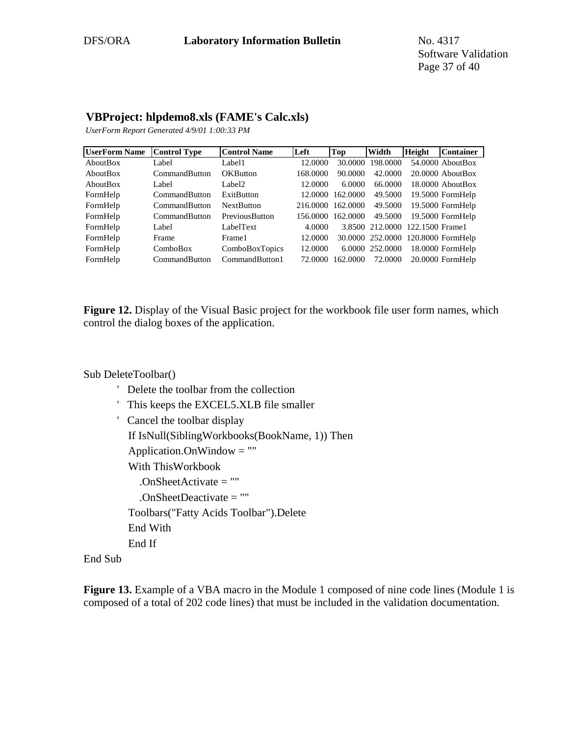# **VBProject: hlpdemo8.xls (FAME's Calc.xls)**

*UserForm Report Generated 4/9/01 1:00:33 PM*

| <b>UserForm Name</b> | <b>Control Type</b> | <b>Control Name</b> | lLeft    | <b>Top</b> | Width           | <b>Height</b>   | <b>Container</b>                   |
|----------------------|---------------------|---------------------|----------|------------|-----------------|-----------------|------------------------------------|
| AboutBox             | Label               | Label1              | 12.0000  | 30,0000    | 198,0000        |                 | $54.0000$ About Box                |
| AboutBox             | CommandButton       | <b>OKButton</b>     | 168,0000 | 90.0000    | 42.0000         |                 | $20.0000$ About Box                |
| AboutBox             | Label               | Label <sub>2</sub>  | 12.0000  | 6.0000     | 66,0000         |                 | $18,0000$ About Box                |
| FormHelp             | CommandButton       | ExitButton          | 12.0000  | 162,0000   | 49.5000         |                 | 19.5000 FormHelp                   |
| FormHelp             | CommandButton       | <b>NextButton</b>   | 216,0000 | 162,0000   | 49.5000         |                 | 19.5000 FormHelp                   |
| FormHelp             | CommandButton       | PreviousButton      | 156.0000 | 162,0000   | 49.5000         |                 | 19.5000 FormHelp                   |
| FormHelp             | Label               | LabelText           | 4.0000   |            | 3.8500 212.0000 | 122.1500 Frame1 |                                    |
| FormHelp             | Frame               | Frame1              | 12.0000  |            |                 |                 | 30.0000 252.0000 120.8000 FormHelp |
| FormHelp             | ComboBox            | ComboBoxTopics      | 12.0000  |            | 6.0000 252,0000 |                 | 18.0000 FormHelp                   |
| FormHelp             | CommandButton       | CommandButton1      | 72.0000  | 162.0000   | 72.0000         |                 | 20.0000 FormHelp                   |

**Figure 12.** Display of the Visual Basic project for the workbook file user form names, which control the dialog boxes of the application.

#### Sub DeleteToolbar()

- ' Delete the toolbar from the collection
- ' This keeps the EXCEL5.XLB file smaller
- ' Cancel the toolbar display
	- If IsNull(SiblingWorkbooks(BookName, 1)) Then
	- Application.OnWindow  $=$  ""
	- With ThisWorkbook
		- .OnSheetActivate = ""
		- .OnSheetDeactivate = ""
	- Toolbars("Fatty Acids Toolbar").Delete
	- End With
	- End If

#### End Sub

**Figure 13.** Example of a VBA macro in the Module 1 composed of nine code lines (Module 1 is composed of a total of 202 code lines) that must be included in the validation documentation.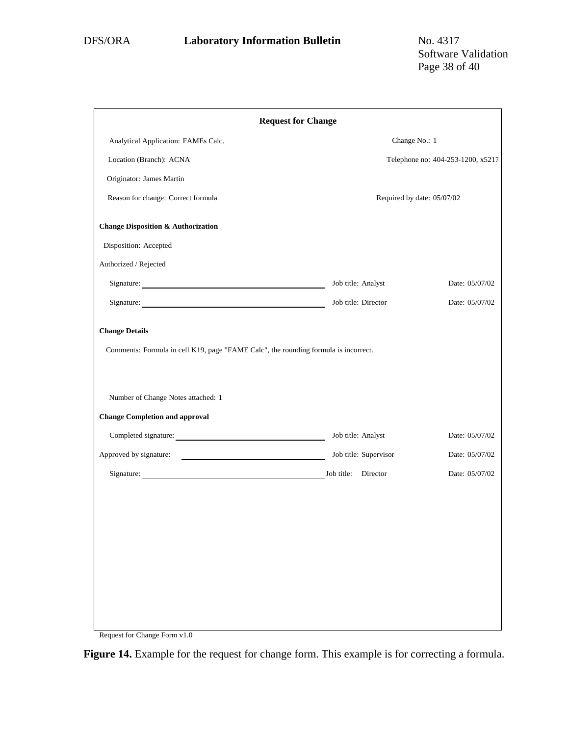| <b>Request for Change</b>                                                                                                                                                                  |                            |                                   |  |  |  |  |
|--------------------------------------------------------------------------------------------------------------------------------------------------------------------------------------------|----------------------------|-----------------------------------|--|--|--|--|
| Analytical Application: FAMEs Calc.                                                                                                                                                        | Change No.: 1              |                                   |  |  |  |  |
| Location (Branch): ACNA                                                                                                                                                                    |                            | Telephone no: 404-253-1200, x5217 |  |  |  |  |
| Originator: James Martin                                                                                                                                                                   |                            |                                   |  |  |  |  |
| Reason for change: Correct formula                                                                                                                                                         | Required by date: 05/07/02 |                                   |  |  |  |  |
| <b>Change Disposition &amp; Authorization</b>                                                                                                                                              |                            |                                   |  |  |  |  |
| Disposition: Accepted                                                                                                                                                                      |                            |                                   |  |  |  |  |
| Authorized / Rejected                                                                                                                                                                      |                            |                                   |  |  |  |  |
|                                                                                                                                                                                            | Job title: Analyst         | Date: 05/07/02                    |  |  |  |  |
| Signature:                                                                                                                                                                                 | Job title: Director        | Date: 05/07/02                    |  |  |  |  |
| Comments: Formula in cell K19, page "FAME Calc", the rounding formula is incorrect.<br>Number of Change Notes attached: 1<br><b>Change Completion and approval</b><br>Completed signature: | Job title: Analyst         | Date: 05/07/02                    |  |  |  |  |
|                                                                                                                                                                                            | Job title: Supervisor      | Date: 05/07/02                    |  |  |  |  |
| Signature: Job title: Director                                                                                                                                                             |                            | Date: 05/07/02                    |  |  |  |  |
|                                                                                                                                                                                            |                            |                                   |  |  |  |  |

Request for Change Form v1.0

**Figure 14.** Example for the request for change form. This example is for correcting a formula.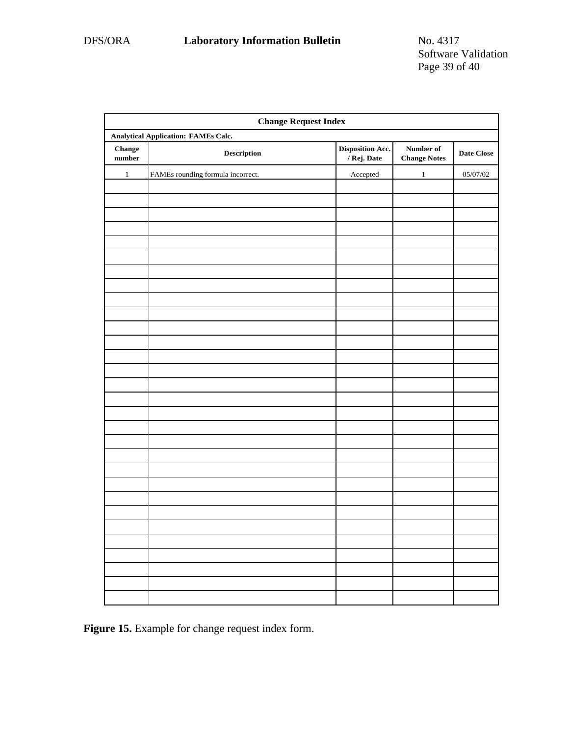| <b>Change Request Index</b>                |                                                                                      |                                 |                                  |            |  |  |  |  |
|--------------------------------------------|--------------------------------------------------------------------------------------|---------------------------------|----------------------------------|------------|--|--|--|--|
| <b>Analytical Application: FAMEs Calc.</b> |                                                                                      |                                 |                                  |            |  |  |  |  |
| <b>Change</b><br>$\bf number$              | $\begin{minipage}{.4\linewidth} \textbf{Description} \end{minipage} \vspace{-0.3mm}$ | Disposition Acc.<br>/ Rej. Date | Number of<br><b>Change Notes</b> | Date Close |  |  |  |  |
| $\,1$                                      | FAMEs rounding formula incorrect.                                                    | Accepted                        | $\mathbf{1}$                     | 05/07/02   |  |  |  |  |
|                                            |                                                                                      |                                 |                                  |            |  |  |  |  |
|                                            |                                                                                      |                                 |                                  |            |  |  |  |  |
|                                            |                                                                                      |                                 |                                  |            |  |  |  |  |
|                                            |                                                                                      |                                 |                                  |            |  |  |  |  |
|                                            |                                                                                      |                                 |                                  |            |  |  |  |  |
|                                            |                                                                                      |                                 |                                  |            |  |  |  |  |
|                                            |                                                                                      |                                 |                                  |            |  |  |  |  |
|                                            |                                                                                      |                                 |                                  |            |  |  |  |  |
|                                            |                                                                                      |                                 |                                  |            |  |  |  |  |
|                                            |                                                                                      |                                 |                                  |            |  |  |  |  |
|                                            |                                                                                      |                                 |                                  |            |  |  |  |  |
|                                            |                                                                                      |                                 |                                  |            |  |  |  |  |
|                                            |                                                                                      |                                 |                                  |            |  |  |  |  |
|                                            |                                                                                      |                                 |                                  |            |  |  |  |  |
|                                            |                                                                                      |                                 |                                  |            |  |  |  |  |
|                                            |                                                                                      |                                 |                                  |            |  |  |  |  |
|                                            |                                                                                      |                                 |                                  |            |  |  |  |  |
|                                            |                                                                                      |                                 |                                  |            |  |  |  |  |
|                                            |                                                                                      |                                 |                                  |            |  |  |  |  |
|                                            |                                                                                      |                                 |                                  |            |  |  |  |  |
|                                            |                                                                                      |                                 |                                  |            |  |  |  |  |
|                                            |                                                                                      |                                 |                                  |            |  |  |  |  |
|                                            |                                                                                      |                                 |                                  |            |  |  |  |  |
|                                            |                                                                                      |                                 |                                  |            |  |  |  |  |
|                                            |                                                                                      |                                 |                                  |            |  |  |  |  |
|                                            |                                                                                      |                                 |                                  |            |  |  |  |  |
|                                            |                                                                                      |                                 |                                  |            |  |  |  |  |
|                                            |                                                                                      |                                 |                                  |            |  |  |  |  |
|                                            |                                                                                      |                                 |                                  |            |  |  |  |  |

**Figure 15.** Example for change request index form.